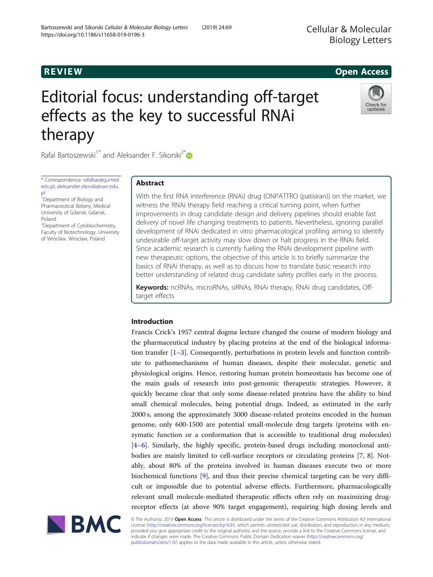## **REVIEW REVIEW CONSTRUCTER ACCESS**

# Editorial focus: understanding off-target effects as the key to successful RNAi therapy



Rafal Bartoszewski<sup>1\*</sup> and Aleksander F. Sikorski<sup>2\*</sup>

\* Correspondence: [rafalbar@gumed.](mailto:rafalbar@gumed.edu.pl) [edu.pl](mailto:rafalbar@gumed.edu.pl); [aleksander.sikorski@uwr.edu.](mailto:aleksander.sikorski@uwr.edu.pl) [pl](mailto:aleksander.sikorski@uwr.edu.pl)

1 Department of Biology and Pharmaceutical Botany, Medical University of Gdansk, Gdansk, Poland

<sup>2</sup>Department of Cytobiochemistry, Faculty of Biotechnology, University of Wroclaw, Wroclaw, Poland

## Abstract

With the first RNA interference (RNAi) drug (ONPATTRO (patisiran)) on the market, we witness the RNAi therapy field reaching a critical turning point, when further improvements in drug candidate design and delivery pipelines should enable fast delivery of novel life changing treatments to patients. Nevertheless, ignoring parallel development of RNAi dedicated in vitro pharmacological profiling aiming to identify undesirable off-target activity may slow down or halt progress in the RNAi field. Since academic research is currently fueling the RNAi development pipeline with new therapeutic options, the objective of this article is to briefly summarize the basics of RNAi therapy, as well as to discuss how to translate basic research into better understanding of related drug candidate safety profiles early in the process.

Keywords: ncRNAs, microRNAs, siRNAs, RNAi therapy, RNAi drug candidates, Offtarget effects

## Introduction

Francis Crick's 1957 central dogma lecture changed the course of modern biology and the pharmaceutical industry by placing proteins at the end of the biological information transfer  $[1-3]$  $[1-3]$  $[1-3]$  $[1-3]$  $[1-3]$ . Consequently, perturbations in protein levels and function contribute to pathomechanisms of human diseases, despite their molecular, genetic and physiological origins. Hence, restoring human protein homeostasis has become one of the main goals of research into post-genomic therapeutic strategies. However, it quickly became clear that only some disease-related proteins have the ability to bind small chemical molecules, being potential drugs. Indeed, as estimated in the early 2000 s, among the approximately 3000 disease-related proteins encoded in the human genome, only 600-1500 are potential small-molecule drug targets (proteins with enzymatic function or a conformation that is accessible to traditional drug molecules) [[4](#page-12-0)–[6\]](#page-12-0). Similarly, the highly specific, protein-based drugs including monoclonal antibodies are mainly limited to cell-surface receptors or circulating proteins [\[7](#page-12-0), [8](#page-12-0)]. Notably, about 80% of the proteins involved in human diseases execute two or more biochemical functions [\[9](#page-12-0)], and thus their precise chemical targeting can be very difficult or impossible due to potential adverse effects. Furthermore, pharmacologically relevant small molecule-mediated therapeutic effects often rely on maximizing drugreceptor effects (at above 90% target engagement), requiring high dosing levels and



© The Author(s). 2019 Open Access This article is distributed under the terms of the Creative Commons Attribution 4.0 International License ([http://creativecommons.org/licenses/by/4.0/\)](http://creativecommons.org/licenses/by/4.0/), which permits unrestricted use, distribution, and reproduction in any medium, provided you give appropriate credit to the original author(s) and the source, provide a link to the Creative Commons license, and indicate if changes were made. The Creative Commons Public Domain Dedication waiver ([http://creativecommons.org/](http://creativecommons.org/publicdomain/zero/1.0/) [publicdomain/zero/1.0/\)](http://creativecommons.org/publicdomain/zero/1.0/) applies to the data made available in this article, unless otherwise stated.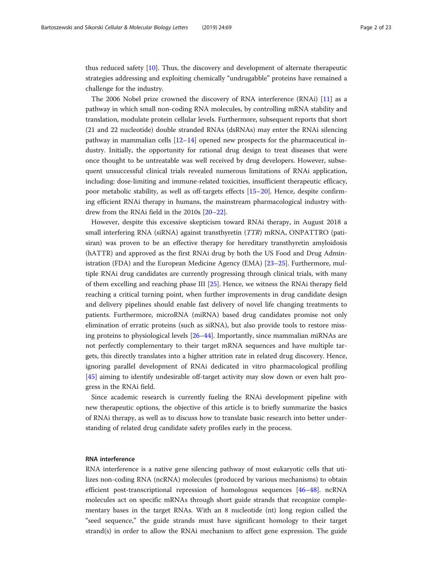thus reduced safety [\[10](#page-12-0)]. Thus, the discovery and development of alternate therapeutic strategies addressing and exploiting chemically "undrugabble" proteins have remained a challenge for the industry.

The 2006 Nobel prize crowned the discovery of RNA interference (RNAi) [\[11](#page-12-0)] as a pathway in which small non-coding RNA molecules, by controlling mRNA stability and translation, modulate protein cellular levels. Furthermore, subsequent reports that short (21 and 22 nucleotide) double stranded RNAs (dsRNAs) may enter the RNAi silencing pathway in mammalian cells  $[12-14]$  $[12-14]$  $[12-14]$  $[12-14]$  $[12-14]$  opened new prospects for the pharmaceutical industry. Initially, the opportunity for rational drug design to treat diseases that were once thought to be untreatable was well received by drug developers. However, subsequent unsuccessful clinical trials revealed numerous limitations of RNAi application, including: dose-limiting and immune-related toxicities, insufficient therapeutic efficacy, poor metabolic stability, as well as off-targets effects [[15](#page-12-0)–[20\]](#page-12-0). Hence, despite confirming efficient RNAi therapy in humans, the mainstream pharmacological industry withdrew from the RNAi field in the 2010s [\[20](#page-12-0)–[22\]](#page-12-0).

However, despite this excessive skepticism toward RNAi therapy, in August 2018 a small interfering RNA (siRNA) against transthyretin (TTR) mRNA, ONPATTRO (patisiran) was proven to be an effective therapy for hereditary transthyretin amyloidosis (hATTR) and approved as the first RNAi drug by both the US Food and Drug Administration (FDA) and the European Medicine Agency (EMA) [\[23](#page-12-0)–[25\]](#page-13-0). Furthermore, multiple RNAi drug candidates are currently progressing through clinical trials, with many of them excelling and reaching phase III [[25](#page-13-0)]. Hence, we witness the RNAi therapy field reaching a critical turning point, when further improvements in drug candidate design and delivery pipelines should enable fast delivery of novel life changing treatments to patients. Furthermore, microRNA (miRNA) based drug candidates promise not only elimination of erratic proteins (such as siRNA), but also provide tools to restore missing proteins to physiological levels [[26](#page-13-0)–[44](#page-13-0)]. Importantly, since mammalian miRNAs are not perfectly complementary to their target mRNA sequences and have multiple targets, this directly translates into a higher attrition rate in related drug discovery. Hence, ignoring parallel development of RNAi dedicated in vitro pharmacological profiling [[45\]](#page-13-0) aiming to identify undesirable off-target activity may slow down or even halt progress in the RNAi field.

Since academic research is currently fueling the RNAi development pipeline with new therapeutic options, the objective of this article is to briefly summarize the basics of RNAi therapy, as well as to discuss how to translate basic research into better understanding of related drug candidate safety profiles early in the process.

#### RNA interference

RNA interference is a native gene silencing pathway of most eukaryotic cells that utilizes non-coding RNA (ncRNA) molecules (produced by various mechanisms) to obtain efficient post-transcriptional repression of homologous sequences [[46](#page-13-0)–[48](#page-13-0)]. ncRNA molecules act on specific mRNAs through short guide strands that recognize complementary bases in the target RNAs. With an 8 nucleotide (nt) long region called the "seed sequence," the guide strands must have significant homology to their target strand(s) in order to allow the RNAi mechanism to affect gene expression. The guide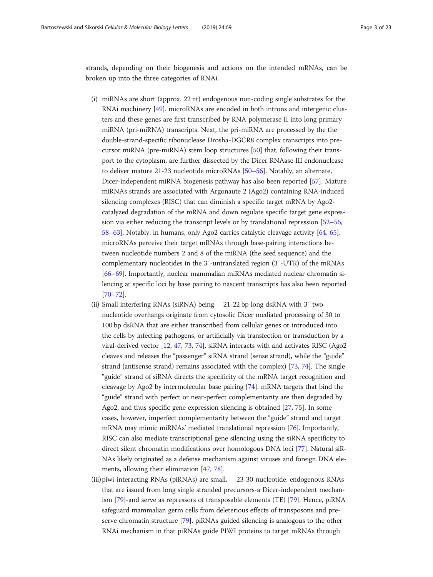strands, depending on their biogenesis and actions on the intended mRNAs, can be broken up into the three categories of RNAi.

- (i) miRNAs are short (approx. 22 nt) endogenous non-coding single substrates for the RNAi machinery [\[49\]](#page-13-0). microRNAs are encoded in both introns and intergenic clusters and these genes are first transcribed by RNA polymerase II into long primary miRNA (pri-miRNA) transcripts. Next, the pri-miRNA are processed by the the double-strand-specific ribonuclease Drosha-DGCR8 complex transcripts into precursor miRNA (pre-miRNA) stem loop structures [\[50\]](#page-13-0) that, following their transport to the cytoplasm, are further dissected by the Dicer RNAase III endonuclease to deliver mature 21-23 nucleotide microRNAs [[50](#page-13-0)–[56\]](#page-13-0). Notably, an alternate, Dicer-independent miRNA biogenesis pathway has also been reported [\[57\]](#page-13-0). Mature miRNAs strands are associated with Argonaute 2 (Ago2) containing RNA-induced silencing complexes (RISC) that can diminish a specific target mRNA by Ago2 catalyzed degradation of the mRNA and down regulate specific target gene expression via either reducing the transcript levels or by translational repression [\[52](#page-13-0)–[56](#page-13-0), [58](#page-13-0)–[63](#page-13-0)]. Notably, in humans, only Ago2 carries catalytic cleavage activity [[64,](#page-13-0) [65](#page-13-0)]. microRNAs perceive their target mRNAs through base-pairing interactions between nucleotide numbers 2 and 8 of the miRNA (the seed sequence) and the complementary nucleotides in the 3′-untranslated region (3′-UTR) of the mRNAs [\[66](#page-13-0)–[69\]](#page-14-0). Importantly, nuclear mammalian miRNAs mediated nuclear chromatin silencing at specific loci by base pairing to nascent transcripts has also been reported [\[70](#page-14-0)–[72\]](#page-14-0).
- (ii) Small interfering RNAs (siRNA) being 21-22 bp long dsRNA with 3′ twonucleotide overhangs originate from cytosolic Dicer mediated processing of 30 to 100 bp dsRNA that are either transcribed from cellular genes or introduced into the cells by infecting pathogens, or artificially via transfection or transduction by a viral-derived vector [[12](#page-12-0), [47](#page-13-0), [73,](#page-14-0) [74](#page-14-0)]. siRNA interacts with and activates RISC (Ago2 cleaves and releases the "passenger" siRNA strand (sense strand), while the "guide" strand (antisense strand) remains associated with the complex) [\[73,](#page-14-0) [74\]](#page-14-0). The single "guide" strand of siRNA directs the specificity of the mRNA target recognition and cleavage by Ago2 by intermolecular base pairing [\[74\]](#page-14-0). mRNA targets that bind the "guide" strand with perfect or near-perfect complementarity are then degraded by Ago2, and thus specific gene expression silencing is obtained [\[27](#page-13-0), [75\]](#page-14-0). In some cases, however, imperfect complementarity between the "guide" strand and target mRNA may mimic miRNAs' mediated translational repression [\[76](#page-14-0)]. Importantly, RISC can also mediate transcriptional gene silencing using the siRNA specificity to direct silent chromatin modifications over homologous DNA loci [[77\]](#page-14-0). Natural siR-NAs likely originated as a defense mechanism against viruses and foreign DNA elements, allowing their elimination [\[47](#page-13-0), [78\]](#page-14-0).
- (iii)piwi-interacting RNAs (piRNAs) are small, 23-30-nucleotide, endogenous RNAs that are issued from long single stranded precursors-a Dicer-independent mechanism [[79](#page-14-0)]-and serve as repressors of transposable elements (TE) [\[79\]](#page-14-0). Hence, piRNA safeguard mammalian germ cells from deleterious effects of transposons and preserve chromatin structure [[79\]](#page-14-0). piRNAs guided silencing is analogous to the other RNAi mechanism in that piRNAs guide PIWI proteins to target mRNAs through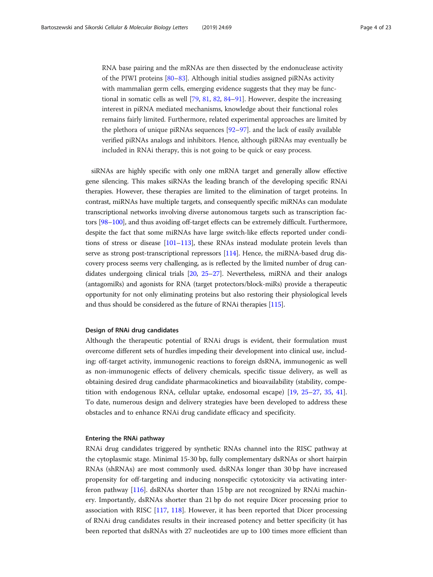RNA base pairing and the mRNAs are then dissected by the endonuclease activity of the PIWI proteins [[80](#page-14-0)–[83](#page-14-0)]. Although initial studies assigned piRNAs activity with mammalian germ cells, emerging evidence suggests that they may be functional in somatic cells as well [[79,](#page-14-0) [81](#page-14-0), [82,](#page-14-0) [84](#page-14-0)–[91](#page-14-0)]. However, despite the increasing interest in piRNA mediated mechanisms, knowledge about their functional roles remains fairly limited. Furthermore, related experimental approaches are limited by the plethora of unique piRNAs sequences [\[92](#page-14-0)–[97](#page-14-0)]. and the lack of easily available verified piRNAs analogs and inhibitors. Hence, although piRNAs may eventually be included in RNAi therapy, this is not going to be quick or easy process.

siRNAs are highly specific with only one mRNA target and generally allow effective gene silencing. This makes siRNAs the leading branch of the developing specific RNAi therapies. However, these therapies are limited to the elimination of target proteins. In contrast, miRNAs have multiple targets, and consequently specific miRNAs can modulate transcriptional networks involving diverse autonomous targets such as transcription factors [[98](#page-14-0)–[100\]](#page-14-0), and thus avoiding off-target effects can be extremely difficult. Furthermore, despite the fact that some miRNAs have large switch-like effects reported under conditions of stress or disease [\[101](#page-14-0)–[113](#page-15-0)], these RNAs instead modulate protein levels than serve as strong post-transcriptional repressors [[114](#page-15-0)]. Hence, the miRNA-based drug discovery process seems very challenging, as is reflected by the limited number of drug candidates undergoing clinical trials [[20](#page-12-0), [25](#page-13-0)–[27](#page-13-0)]. Nevertheless, miRNA and their analogs (antagomiRs) and agonists for RNA (target protectors/block-miRs) provide a therapeutic opportunity for not only eliminating proteins but also restoring their physiological levels and thus should be considered as the future of RNAi therapies [[115\]](#page-15-0).

#### Design of RNAi drug candidates

Although the therapeutic potential of RNAi drugs is evident, their formulation must overcome different sets of hurdles impeding their development into clinical use, including: off-target activity, immunogenic reactions to foreign dsRNA, immunogenic as well as non-immunogenic effects of delivery chemicals, specific tissue delivery, as well as obtaining desired drug candidate pharmacokinetics and bioavailability (stability, competition with endogenous RNA, cellular uptake, endosomal escape) [\[19](#page-12-0), [25](#page-13-0)–[27](#page-13-0), [35](#page-13-0), [41](#page-13-0)]. To date, numerous design and delivery strategies have been developed to address these obstacles and to enhance RNAi drug candidate efficacy and specificity.

#### Entering the RNAi pathway

RNAi drug candidates triggered by synthetic RNAs channel into the RISC pathway at the cytoplasmic stage. Minimal 15-30 bp, fully complementary dsRNAs or short hairpin RNAs (shRNAs) are most commonly used. dsRNAs longer than 30 bp have increased propensity for off-targeting and inducing nonspecific cytotoxicity via activating interferon pathway [\[116\]](#page-15-0). dsRNAs shorter than 15 bp are not recognized by RNAi machinery. Importantly, dsRNAs shorter than 21 bp do not require Dicer processing prior to association with RISC [\[117,](#page-15-0) [118](#page-15-0)]. However, it has been reported that Dicer processing of RNAi drug candidates results in their increased potency and better specificity (it has been reported that dsRNAs with 27 nucleotides are up to 100 times more efficient than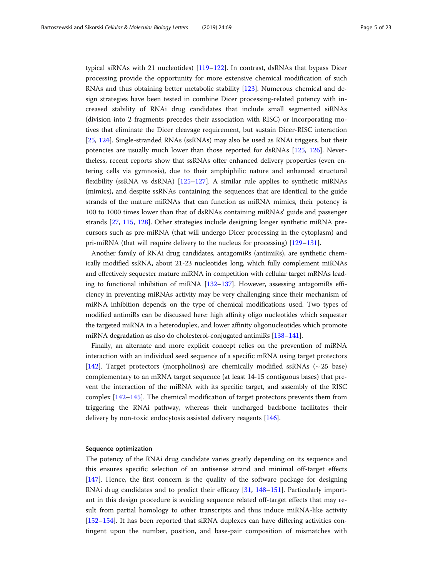typical siRNAs with 21 nucleotides) [\[119](#page-15-0)–[122\]](#page-15-0). In contrast, dsRNAs that bypass Dicer processing provide the opportunity for more extensive chemical modification of such RNAs and thus obtaining better metabolic stability [[123\]](#page-15-0). Numerous chemical and design strategies have been tested in combine Dicer processing-related potency with increased stability of RNAi drug candidates that include small segmented siRNAs (division into 2 fragments precedes their association with RISC) or incorporating motives that eliminate the Dicer cleavage requirement, but sustain Dicer-RISC interaction [[25,](#page-13-0) [124\]](#page-15-0). Single-stranded RNAs (ssRNAs) may also be used as RNAi triggers, but their potencies are usually much lower than those reported for dsRNAs [[125,](#page-15-0) [126](#page-15-0)]. Nevertheless, recent reports show that ssRNAs offer enhanced delivery properties (even entering cells via gymnosis), due to their amphiphilic nature and enhanced structural flexibility (ssRNA vs dsRNA) [[125](#page-15-0)–[127](#page-15-0)]. A similar rule applies to synthetic miRNAs (mimics), and despite ssRNAs containing the sequences that are identical to the guide strands of the mature miRNAs that can function as miRNA mimics, their potency is 100 to 1000 times lower than that of dsRNAs containing miRNAs' guide and passenger strands [[27](#page-13-0), [115,](#page-15-0) [128\]](#page-15-0). Other strategies include designing longer synthetic miRNA precursors such as pre-miRNA (that will undergo Dicer processing in the cytoplasm) and pri-miRNA (that will require delivery to the nucleus for processing) [\[129](#page-15-0)–[131\]](#page-15-0).

Another family of RNAi drug candidates, antagomiRs (antimiRs), are synthetic chemically modified ssRNA, about 21-23 nucleotides long, which fully complement miRNAs and effectively sequester mature miRNA in competition with cellular target mRNAs leading to functional inhibition of miRNA [\[132](#page-15-0)–[137](#page-15-0)]. However, assessing antagomiRs efficiency in preventing miRNAs activity may be very challenging since their mechanism of miRNA inhibition depends on the type of chemical modifications used. Two types of modified antimiRs can be discussed here: high affinity oligo nucleotides which sequester the targeted miRNA in a heteroduplex, and lower affinity oligonucleotides which promote miRNA degradation as also do cholesterol-conjugated antimiRs [[138](#page-15-0)–[141\]](#page-15-0).

Finally, an alternate and more explicit concept relies on the prevention of miRNA interaction with an individual seed sequence of a specific mRNA using target protectors [[142\]](#page-15-0). Target protectors (morpholinos) are chemically modified ssRNAs (~ 25 base) complementary to an mRNA target sequence (at least 14-15 contiguous bases) that prevent the interaction of the miRNA with its specific target, and assembly of the RISC complex [\[142](#page-15-0)–[145\]](#page-15-0). The chemical modification of target protectors prevents them from triggering the RNAi pathway, whereas their uncharged backbone facilitates their delivery by non-toxic endocytosis assisted delivery reagents [\[146\]](#page-15-0).

#### Sequence optimization

The potency of the RNAi drug candidate varies greatly depending on its sequence and this ensures specific selection of an antisense strand and minimal off-target effects [[147\]](#page-16-0). Hence, the first concern is the quality of the software package for designing RNAi drug candidates and to predict their efficacy [[31,](#page-13-0) [148](#page-16-0)–[151\]](#page-16-0). Particularly important in this design procedure is avoiding sequence related off-target effects that may result from partial homology to other transcripts and thus induce miRNA-like activity [[152](#page-16-0)–[154](#page-16-0)]. It has been reported that siRNA duplexes can have differing activities contingent upon the number, position, and base-pair composition of mismatches with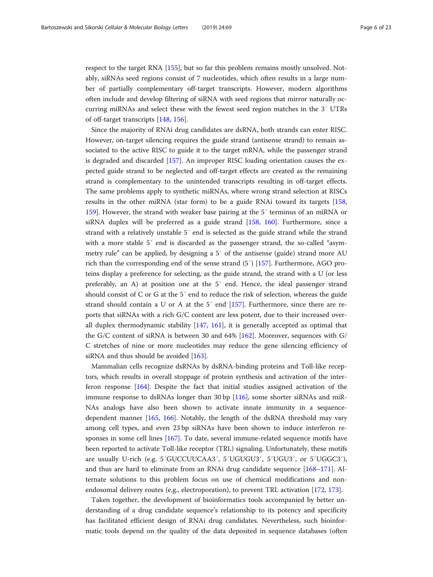respect to the target RNA [\[155\]](#page-16-0), but so far this problem remains mostly unsolved. Notably, siRNAs seed regions consist of 7 nucleotides, which often results in a large number of partially complementary off-target transcripts. However, modern algorithms often include and develop filtering of siRNA with seed regions that mirror naturally occurring miRNAs and select these with the fewest seed region matches in the 3′ UTRs of off-target transcripts [[148,](#page-16-0) [156](#page-16-0)].

Since the majority of RNAi drug candidates are dsRNA, both strands can enter RISC. However, on-target silencing requires the guide strand (antisense strand) to remain associated to the active RISC to guide it to the target mRNA, while the passenger strand is degraded and discarded [\[157\]](#page-16-0). An improper RISC loading orientation causes the expected guide strand to be neglected and off-target effects are created as the remaining strand is complementary to the unintended transcripts resulting in off-target effects. The same problems apply to synthetic miRNAs, where wrong strand selection at RISCs results in the other miRNA (star form) to be a guide RNAi toward its targets [[158](#page-16-0), [159](#page-16-0)]. However, the strand with weaker base pairing at the 5′ terminus of an miRNA or siRNA duplex will be preferred as a guide strand [[158](#page-16-0), [160](#page-16-0)]. Furthermore, since a strand with a relatively unstable 5′ end is selected as the guide strand while the strand with a more stable 5′ end is discarded as the passenger strand, the so-called "asymmetry rule" can be applied, by designing a 5′ of the antisense (guide) strand more AU rich than the corresponding end of the sense strand (5′) [[157\]](#page-16-0). Furthermore, AGO proteins display a preference for selecting, as the guide strand, the strand with a U (or less preferably, an A) at position one at the 5′ end. Hence, the ideal passenger strand should consist of C or G at the 5′ end to reduce the risk of selection, whereas the guide strand should contain a U or A at the 5′ end [\[157](#page-16-0)]. Furthermore, since there are reports that siRNAs with a rich G/C content are less potent, due to their increased overall duplex thermodynamic stability [[147](#page-16-0), [161](#page-16-0)], it is generally accepted as optimal that the G/C content of siRNA is between 30 and 64% [\[162\]](#page-16-0). Moreover, sequences with G/ C stretches of nine or more nucleotides may reduce the gene silencing efficiency of siRNA and thus should be avoided [\[163\]](#page-16-0).

Mammalian cells recognize dsRNAs by dsRNA-binding proteins and Toll-like receptors, which results in overall stoppage of protein synthesis and activation of the interferon response [[164\]](#page-16-0). Despite the fact that initial studies assigned activation of the immune response to dsRNAs longer than 30 bp [\[116](#page-15-0)], some shorter siRNAs and miR-NAs analogs have also been shown to activate innate immunity in a sequencedependent manner [\[165](#page-16-0), [166](#page-16-0)]. Notably, the length of the dsRNA threshold may vary among cell types, and even 23 bp siRNAs have been shown to induce interferon responses in some cell lines [[167\]](#page-16-0). To date, several immune-related sequence motifs have been reported to activate Toll-like receptor (TRL) signaling. Unfortunately, these motifs are usually U-rich (e.g. 5′GUCCUUCAA3′, 5′UGUGU3′, 5′UGU3′, or 5′UGGC3′), and thus are hard to eliminate from an RNAi drug candidate sequence [\[168](#page-16-0)–[171\]](#page-16-0). Alternate solutions to this problem focus on use of chemical modifications and nonendosomal delivery routes (e.g., electroporation), to prevent TRL activation [[172,](#page-16-0) [173](#page-16-0)].

Taken together, the development of bioinformatics tools accompanied by better understanding of a drug candidate sequence's relationship to its potency and specificity has facilitated efficient design of RNAi drug candidates. Nevertheless, such bioinformatic tools depend on the quality of the data deposited in sequence databases (often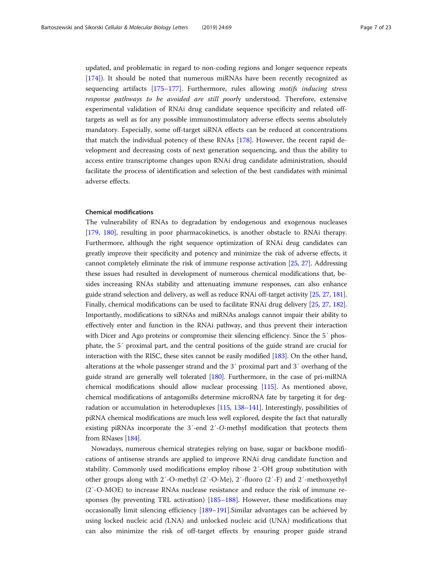updated, and problematic in regard to non-coding regions and longer sequence repeats [[174\]](#page-16-0)). It should be noted that numerous miRNAs have been recently recognized as sequencing artifacts [\[175](#page-16-0)–[177\]](#page-16-0). Furthermore, rules allowing motifs inducing stress response pathways to be avoided are still poorly understood. Therefore, extensive experimental validation of RNAi drug candidate sequence specificity and related offtargets as well as for any possible immunostimulatory adverse effects seems absolutely mandatory. Especially, some off-target siRNA effects can be reduced at concentrations that match the individual potency of these RNAs [[178\]](#page-16-0). However, the recent rapid development and decreasing costs of next generation sequencing, and thus the ability to access entire transcriptome changes upon RNAi drug candidate administration, should facilitate the process of identification and selection of the best candidates with minimal adverse effects.

#### Chemical modifications

The vulnerability of RNAs to degradation by endogenous and exogenous nucleases [[179,](#page-16-0) [180\]](#page-16-0), resulting in poor pharmacokinetics, is another obstacle to RNAi therapy. Furthermore, although the right sequence optimization of RNAi drug candidates can greatly improve their specificity and potency and minimize the risk of adverse effects, it cannot completely eliminate the risk of immune response activation [[25](#page-13-0), [27](#page-13-0)]. Addressing these issues had resulted in development of numerous chemical modifications that, besides increasing RNAs stability and attenuating immune responses, can also enhance guide strand selection and delivery, as well as reduce RNAi off-target activity [\[25,](#page-13-0) [27](#page-13-0), [181](#page-16-0)]. Finally, chemical modifications can be used to facilitate RNAi drug delivery [\[25](#page-13-0), [27,](#page-13-0) [182](#page-16-0)]. Importantly, modifications to siRNAs and miRNAs analogs cannot impair their ability to effectively enter and function in the RNAi pathway, and thus prevent their interaction with Dicer and Ago proteins or compromise their silencing efficiency. Since the 5' phosphate, the 5′ proximal part, and the central positions of the guide strand are crucial for interaction with the RISC, these sites cannot be easily modified [\[183\]](#page-16-0). On the other hand, alterations at the whole passenger strand and the 3′ proximal part and 3′ overhang of the guide strand are generally well tolerated [[180](#page-16-0)]. Furthermore, in the case of pri-miRNA chemical modifications should allow nuclear processing [[115](#page-15-0)]. As mentioned above, chemical modifications of antagomiRs determine microRNA fate by targeting it for degradation or accumulation in heteroduplexes [\[115](#page-15-0), [138](#page-15-0)–[141\]](#page-15-0). Interestingly, possibilities of piRNA chemical modifications are much less well explored, despite the fact that naturally existing piRNAs incorporate the 3′-end 2′-O-methyl modification that protects them from RNases [[184](#page-16-0)].

Nowadays, numerous chemical strategies relying on base, sugar or backbone modifications of antisense strands are applied to improve RNAi drug candidate function and stability. Commonly used modifications employ ribose 2′-OH group substitution with other groups along with 2′-O-methyl (2′-O-Me), 2′-fluoro (2′-F) and 2′-methoxyethyl (2′-O-MOE) to increase RNAs nuclease resistance and reduce the risk of immune responses (by preventing TRL activation) [\[185](#page-16-0)–[188\]](#page-17-0). However, these modifications may occasionally limit silencing efficiency [\[189](#page-17-0)–[191\]](#page-17-0).Similar advantages can be achieved by using locked nucleic acid (LNA) and unlocked nucleic acid (UNA) modifications that can also minimize the risk of off-target effects by ensuring proper guide strand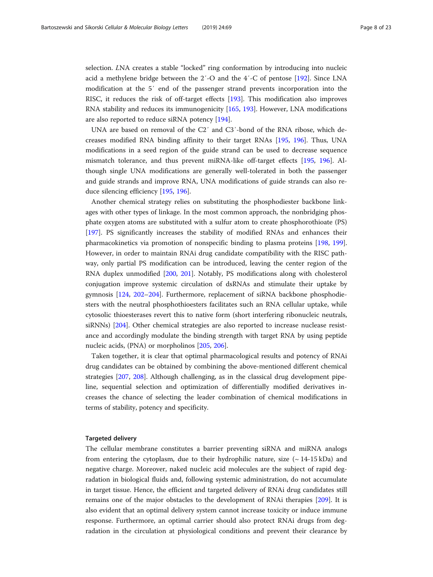selection. LNA creates a stable "locked" ring conformation by introducing into nucleic acid a methylene bridge between the 2′-O and the 4′-C of pentose [\[192\]](#page-17-0). Since LNA modification at the 5′ end of the passenger strand prevents incorporation into the RISC, it reduces the risk of off-target effects [[193](#page-17-0)]. This modification also improves RNA stability and reduces its immunogenicity [\[165,](#page-16-0) [193\]](#page-17-0). However, LNA modifications are also reported to reduce siRNA potency [\[194\]](#page-17-0).

UNA are based on removal of the C2′ and C3′-bond of the RNA ribose, which decreases modified RNA binding affinity to their target RNAs [\[195,](#page-17-0) [196](#page-17-0)]. Thus, UNA modifications in a seed region of the guide strand can be used to decrease sequence mismatch tolerance, and thus prevent miRNA-like off-target effects [\[195](#page-17-0), [196](#page-17-0)]. Although single UNA modifications are generally well-tolerated in both the passenger and guide strands and improve RNA, UNA modifications of guide strands can also reduce silencing efficiency [[195,](#page-17-0) [196\]](#page-17-0).

Another chemical strategy relies on substituting the phosphodiester backbone linkages with other types of linkage. In the most common approach, the nonbridging phosphate oxygen atoms are substituted with a sulfur atom to create phosphorothioate (PS) [[197\]](#page-17-0). PS significantly increases the stability of modified RNAs and enhances their pharmacokinetics via promotion of nonspecific binding to plasma proteins [[198,](#page-17-0) [199](#page-17-0)]. However, in order to maintain RNAi drug candidate compatibility with the RISC pathway, only partial PS modification can be introduced, leaving the center region of the RNA duplex unmodified [[200](#page-17-0), [201](#page-17-0)]. Notably, PS modifications along with cholesterol conjugation improve systemic circulation of dsRNAs and stimulate their uptake by gymnosis [[124,](#page-15-0) [202](#page-17-0)–[204](#page-17-0)]. Furthermore, replacement of siRNA backbone phosphodiesters with the neutral phosphothioesters facilitates such an RNA cellular uptake, while cytosolic thioesterases revert this to native form (short interfering ribonucleic neutrals, siRNNs) [[204](#page-17-0)]. Other chemical strategies are also reported to increase nuclease resistance and accordingly modulate the binding strength with target RNA by using peptide nucleic acids, (PNA) or morpholinos [\[205,](#page-17-0) [206\]](#page-17-0).

Taken together, it is clear that optimal pharmacological results and potency of RNAi drug candidates can be obtained by combining the above-mentioned different chemical strategies [[207](#page-17-0), [208\]](#page-17-0). Although challenging, as in the classical drug development pipeline, sequential selection and optimization of differentially modified derivatives increases the chance of selecting the leader combination of chemical modifications in terms of stability, potency and specificity.

#### Targeted delivery

The cellular membrane constitutes a barrier preventing siRNA and miRNA analogs from entering the cytoplasm, due to their hydrophilic nature, size  $(\sim 14{\text -}15 \text{ kDa})$  and negative charge. Moreover, naked nucleic acid molecules are the subject of rapid degradation in biological fluids and, following systemic administration, do not accumulate in target tissue. Hence, the efficient and targeted delivery of RNAi drug candidates still remains one of the major obstacles to the development of RNAi therapies [\[209\]](#page-17-0). It is also evident that an optimal delivery system cannot increase toxicity or induce immune response. Furthermore, an optimal carrier should also protect RNAi drugs from degradation in the circulation at physiological conditions and prevent their clearance by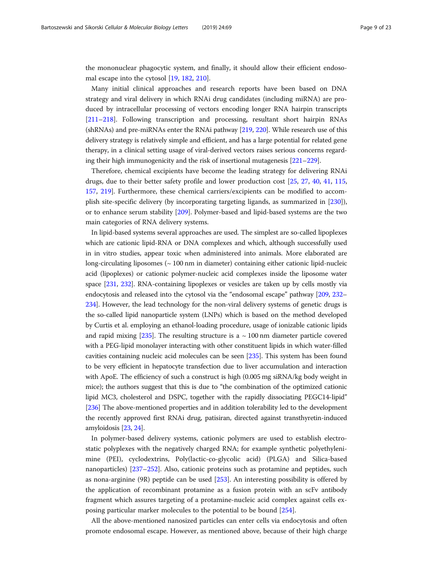the mononuclear phagocytic system, and finally, it should allow their efficient endosomal escape into the cytosol [[19,](#page-12-0) [182,](#page-16-0) [210](#page-17-0)].

Many initial clinical approaches and research reports have been based on DNA strategy and viral delivery in which RNAi drug candidates (including miRNA) are produced by intracellular processing of vectors encoding longer RNA hairpin transcripts [[211](#page-17-0)–[218](#page-17-0)]. Following transcription and processing, resultant short hairpin RNAs (shRNAs) and pre-miRNAs enter the RNAi pathway [[219](#page-17-0), [220](#page-17-0)]. While research use of this delivery strategy is relatively simple and efficient, and has a large potential for related gene therapy, in a clinical setting usage of viral-derived vectors raises serious concerns regarding their high immunogenicity and the risk of insertional mutagenesis [[221](#page-17-0)–[229\]](#page-18-0).

Therefore, chemical excipients have become the leading strategy for delivering RNAi drugs, due to their better safety profile and lower production cost [[25,](#page-13-0) [27](#page-13-0), [40,](#page-13-0) [41](#page-13-0), [115](#page-15-0), [157](#page-16-0), [219](#page-17-0)]. Furthermore, these chemical carriers/excipients can be modified to accomplish site-specific delivery (by incorporating targeting ligands, as summarized in [\[230](#page-18-0)]), or to enhance serum stability [\[209\]](#page-17-0). Polymer-based and lipid-based systems are the two main categories of RNA delivery systems.

In lipid-based systems several approaches are used. The simplest are so-called lipoplexes which are cationic lipid-RNA or DNA complexes and which, although successfully used in in vitro studies, appear toxic when administered into animals. More elaborated are long-circulating liposomes (~ 100 nm in diameter) containing either cationic lipid-nucleic acid (lipoplexes) or cationic polymer-nucleic acid complexes inside the liposome water space [\[231](#page-18-0), [232\]](#page-18-0). RNA-containing lipoplexes or vesicles are taken up by cells mostly via endocytosis and released into the cytosol via the "endosomal escape" pathway [[209](#page-17-0), [232](#page-18-0)– [234](#page-18-0)]. However, the lead technology for the non-viral delivery systems of genetic drugs is the so-called lipid nanoparticle system (LNPs) which is based on the method developed by Curtis et al. employing an ethanol-loading procedure, usage of ionizable cationic lipids and rapid mixing  $[235]$  $[235]$ . The resulting structure is a  $\sim 100$  nm diameter particle covered with a PEG-lipid monolayer interacting with other constituent lipids in which water-filled cavities containing nucleic acid molecules can be seen [\[235](#page-18-0)]. This system has been found to be very efficient in hepatocyte transfection due to liver accumulation and interaction with ApoE. The efficiency of such a construct is high (0.005 mg siRNA/kg body weight in mice); the authors suggest that this is due to "the combination of the optimized cationic lipid MC3, cholesterol and DSPC, together with the rapidly dissociating PEGC14-lipid" [[236](#page-18-0)] The above-mentioned properties and in addition tolerability led to the development the recently approved first RNAi drug, patisiran, directed against transthyretin-induced amyloidosis [\[23,](#page-12-0) [24](#page-12-0)].

In polymer-based delivery systems, cationic polymers are used to establish electrostatic polyplexes with the negatively charged RNA; for example synthetic polyethylenimine (PEI), cyclodextrins, Poly(lactic-co-glycolic acid) (PLGA) and Silica-based nanoparticles) [[237](#page-18-0)–[252](#page-18-0)]. Also, cationic proteins such as protamine and peptides, such as nona-arginine (9R) peptide can be used [[253\]](#page-18-0). An interesting possibility is offered by the application of recombinant protamine as a fusion protein with an scFv antibody fragment which assures targeting of a protamine-nucleic acid complex against cells exposing particular marker molecules to the potential to be bound [\[254](#page-18-0)].

All the above-mentioned nanosized particles can enter cells via endocytosis and often promote endosomal escape. However, as mentioned above, because of their high charge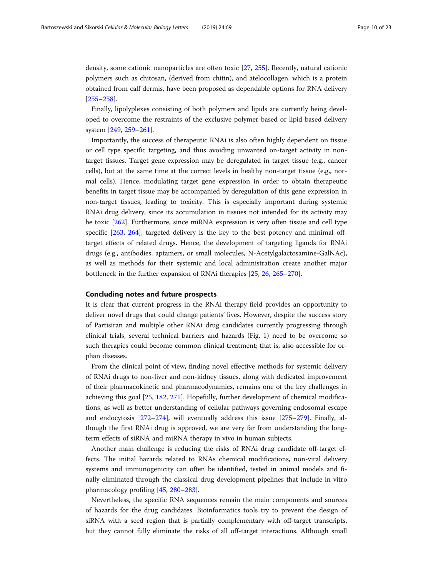density, some cationic nanoparticles are often toxic [\[27](#page-13-0), [255](#page-18-0)]. Recently, natural cationic polymers such as chitosan, (derived from chitin), and atelocollagen, which is a protein obtained from calf dermis, have been proposed as dependable options for RNA delivery [[255](#page-18-0)–[258](#page-18-0)].

Finally, lipolyplexes consisting of both polymers and lipids are currently being developed to overcome the restraints of the exclusive polymer-based or lipid-based delivery system [\[249](#page-18-0), [259](#page-18-0)–[261\]](#page-19-0).

Importantly, the success of therapeutic RNAi is also often highly dependent on tissue or cell type specific targeting, and thus avoiding unwanted on-target activity in nontarget tissues. Target gene expression may be deregulated in target tissue (e.g., cancer cells), but at the same time at the correct levels in healthy non-target tissue (e.g., normal cells). Hence, modulating target gene expression in order to obtain therapeutic benefits in target tissue may be accompanied by deregulation of this gene expression in non-target tissues, leading to toxicity. This is especially important during systemic RNAi drug delivery, since its accumulation in tissues not intended for its activity may be toxic [\[262\]](#page-19-0). Furthermore, since miRNA expression is very often tissue and cell type specific [\[263,](#page-19-0) [264\]](#page-19-0), targeted delivery is the key to the best potency and minimal offtarget effects of related drugs. Hence, the development of targeting ligands for RNAi drugs (e.g., antibodies, aptamers, or small molecules, N-Acetylgalactosamine-GalNAc), as well as methods for their systemic and local administration create another major bottleneck in the further expansion of RNAi therapies [\[25](#page-13-0), [26,](#page-13-0) [265](#page-19-0)–[270](#page-19-0)].

#### Concluding notes and future prospects

It is clear that current progress in the RNAi therapy field provides an opportunity to deliver novel drugs that could change patients' lives. However, despite the success story of Partisiran and multiple other RNAi drug candidates currently progressing through clinical trials, several technical barriers and hazards (Fig. [1](#page-10-0)) need to be overcome so such therapies could become common clinical treatment; that is, also accessible for orphan diseases.

From the clinical point of view, finding novel effective methods for systemic delivery of RNAi drugs to non-liver and non-kidney tissues, along with dedicated improvement of their pharmacokinetic and pharmacodynamics, remains one of the key challenges in achieving this goal [\[25](#page-13-0), [182,](#page-16-0) [271\]](#page-19-0). Hopefully, further development of chemical modifications, as well as better understanding of cellular pathways governing endosomal escape and endocytosis [\[272](#page-19-0)–[274](#page-19-0)], will eventually address this issue [\[275](#page-19-0)–[279\]](#page-19-0). Finally, although the first RNAi drug is approved, we are very far from understanding the longterm effects of siRNA and miRNA therapy in vivo in human subjects.

Another main challenge is reducing the risks of RNAi drug candidate off-target effects. The initial hazards related to RNAs chemical modifications, non-viral delivery systems and immunogenicity can often be identified, tested in animal models and finally eliminated through the classical drug development pipelines that include in vitro pharmacology profiling [[45,](#page-13-0) [280](#page-19-0)–[283](#page-19-0)].

Nevertheless, the specific RNA sequences remain the main components and sources of hazards for the drug candidates. Bioinformatics tools try to prevent the design of siRNA with a seed region that is partially complementary with off-target transcripts, but they cannot fully eliminate the risks of all off-target interactions. Although small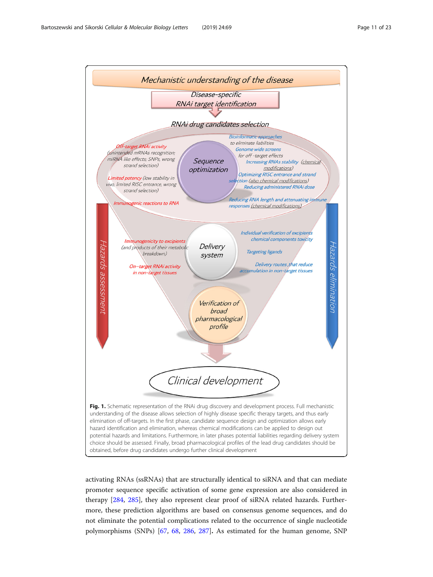<span id="page-10-0"></span>

activating RNAs (ssRNAs) that are structurally identical to siRNA and that can mediate promoter sequence specific activation of some gene expression are also considered in therapy [\[284,](#page-19-0) [285\]](#page-19-0), they also represent clear proof of siRNA related hazards. Furthermore, these prediction algorithms are based on consensus genome sequences, and do not eliminate the potential complications related to the occurrence of single nucleotide polymorphisms (SNPs) [\[67](#page-14-0), [68](#page-14-0), [286,](#page-19-0) [287\]](#page-19-0). As estimated for the human genome, SNP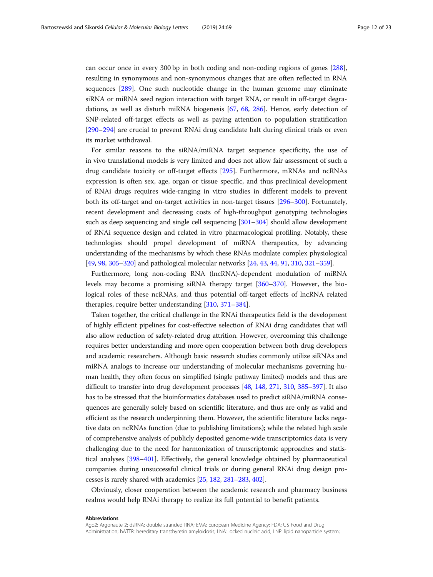can occur once in every 300 bp in both coding and non-coding regions of genes [[288](#page-19-0)], resulting in synonymous and non-synonymous changes that are often reflected in RNA sequences [[289](#page-19-0)]. One such nucleotide change in the human genome may eliminate siRNA or miRNA seed region interaction with target RNA, or result in off-target degradations, as well as disturb miRNA biogenesis [[67](#page-14-0), [68,](#page-14-0) [286](#page-19-0)]. Hence, early detection of SNP-related off-target effects as well as paying attention to population stratification [[290](#page-19-0)–[294](#page-19-0)] are crucial to prevent RNAi drug candidate halt during clinical trials or even its market withdrawal.

For similar reasons to the siRNA/miRNA target sequence specificity, the use of in vivo translational models is very limited and does not allow fair assessment of such a drug candidate toxicity or off-target effects [[295\]](#page-19-0). Furthermore, mRNAs and ncRNAs expression is often sex, age, organ or tissue specific, and thus preclinical development of RNAi drugs requires wide-ranging in vitro studies in different models to prevent both its off-target and on-target activities in non-target tissues [[296](#page-19-0)–[300\]](#page-20-0). Fortunately, recent development and decreasing costs of high-throughput genotyping technologies such as deep sequencing and single cell sequencing [\[301](#page-20-0)–[304\]](#page-20-0) should allow development of RNAi sequence design and related in vitro pharmacological profiling. Notably, these technologies should propel development of miRNA therapeutics, by advancing understanding of the mechanisms by which these RNAs modulate complex physiological [[49](#page-13-0), [98,](#page-14-0) [305](#page-20-0)–[320](#page-20-0)] and pathological molecular networks [\[24,](#page-12-0) [43](#page-13-0), [44](#page-13-0), [91,](#page-14-0) [310,](#page-20-0) [321](#page-20-0)–[359](#page-21-0)].

Furthermore, long non-coding RNA (lncRNA)-dependent modulation of miRNA levels may become a promising siRNA therapy target [\[360](#page-21-0)–[370\]](#page-21-0). However, the biological roles of these ncRNAs, and thus potential off-target effects of lncRNA related therapies, require better understanding [[310](#page-20-0), [371](#page-21-0)–[384\]](#page-22-0).

Taken together, the critical challenge in the RNAi therapeutics field is the development of highly efficient pipelines for cost-effective selection of RNAi drug candidates that will also allow reduction of safety-related drug attrition. However, overcoming this challenge requires better understanding and more open cooperation between both drug developers and academic researchers. Although basic research studies commonly utilize siRNAs and miRNA analogs to increase our understanding of molecular mechanisms governing human health, they often focus on simplified (single pathway limited) models and thus are difficult to transfer into drug development processes [[48](#page-13-0), [148](#page-16-0), [271,](#page-19-0) [310](#page-20-0), [385](#page-22-0)–[397](#page-22-0)]. It also has to be stressed that the bioinformatics databases used to predict siRNA/miRNA consequences are generally solely based on scientific literature, and thus are only as valid and efficient as the research underpinning them. However, the scientific literature lacks negative data on ncRNAs function (due to publishing limitations); while the related high scale of comprehensive analysis of publicly deposited genome-wide transcriptomics data is very challenging due to the need for harmonization of transcriptomic approaches and statistical analyses [[398](#page-22-0)–[401](#page-22-0)]. Effectively, the general knowledge obtained by pharmaceutical companies during unsuccessful clinical trials or during general RNAi drug design processes is rarely shared with academics [\[25,](#page-13-0) [182,](#page-16-0) [281](#page-19-0)–[283](#page-19-0), [402](#page-22-0)].

Obviously, closer cooperation between the academic research and pharmacy business realms would help RNAi therapy to realize its full potential to benefit patients.

#### Abbreviations

Ago2: Argonaute 2; dsRNA: double stranded RNA; EMA: European Medicine Agency; FDA: US Food and Drug Administration; hATTR: hereditary transthyretin amyloidosis; LNA: locked nucleic acid; LNP: lipid nanoparticle system;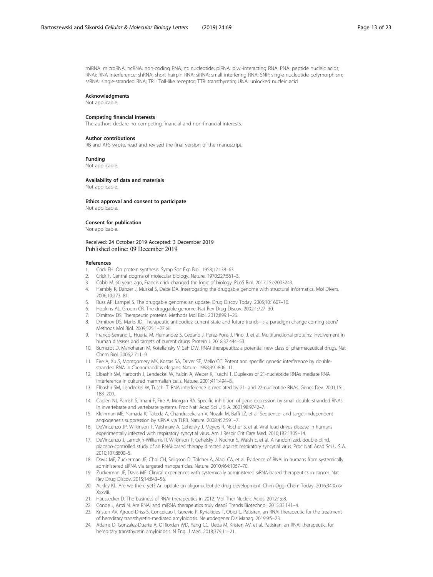<span id="page-12-0"></span>miRNA: microRNA; ncRNA: non-coding RNA; nt: nucleotide; piRNA: piwi-interacting RNA; PNA: peptide nucleic acids; RNAi: RNA interference; shRNA: short hairpin RNA; siRNA: small interfering RNA; SNP: single nucleotide polymorphism; ssRNA: single-stranded RNA; TRL: Toll-like receptor; TTR: transthyretin; UNA: unlocked nucleic acid

#### Acknowledgments

Not applicable.

### Competing financial interests

The authors declare no competing financial and non-financial interests.

#### Author contributions

RB and AFS wrote, read and revised the final version of the manuscript.

#### Funding

Not applicable.

#### Availability of data and materials

Not applicable.

#### Ethics approval and consent to participate Not applicable.

#### Consent for publication

Not applicable.

## Received: 24 October 2019 Accepted: 3 December 2019

#### References

- 1. Crick FH. On protein synthesis. Symp Soc Exp Biol. 1958;12:138–63.
- 2. Crick F. Central dogma of molecular biology. Nature. 1970;227:561–3.
- 3. Cobb M. 60 years ago, Francis crick changed the logic of biology. PLoS Biol. 2017;15:e2003243.
- 4. Hambly K, Danzer J, Muskal S, Debe DA. Interrogating the druggable genome with structural informatics. Mol Divers. 2006;10:273–81.
- 5. Russ AP, Lampel S. The druggable genome: an update. Drug Discov Today. 2005;10:1607–10.
- 6. Hopkins AL, Groom CR. The druggable genome. Nat Rev Drug Discov. 2002;1:727–30.
- 7. Dimitrov DS. Therapeutic proteins. Methods Mol Biol. 2012;899:1–26.
- 8. Dimitrov DS, Marks JD. Therapeutic antibodies: current state and future trends--is a paradigm change coming soon? Methods Mol Biol. 2009;525:1–27 xiii.
- 9. Franco-Serrano L, Huerta M, Hernandez S, Cedano J, Perez-Pons J, Pinol J, et al. Multifunctional proteins: involvement in human diseases and targets of current drugs. Protein J. 2018;37:444–53.
- 10. Bumcrot D, Manoharan M, Koteliansky V, Sah DW. RNAi therapeutics: a potential new class of pharmaceutical drugs. Nat Chem Biol. 2006;2:711–9.
- 11. Fire A, Xu S, Montgomery MK, Kostas SA, Driver SE, Mello CC. Potent and specific genetic interference by doublestranded RNA in Caenorhabditis elegans. Nature. 1998;391:806–11.
- 12. Elbashir SM, Harborth J, Lendeckel W, Yalcin A, Weber K, Tuschl T. Duplexes of 21-nucleotide RNAs mediate RNA interference in cultured mammalian cells. Nature. 2001;411:494–8.
- 13. Elbashir SM, Lendeckel W, Tuschl T. RNA interference is mediated by 21- and 22-nucleotide RNAs. Genes Dev. 2001;15: 188–200.
- 14. Caplen NJ, Parrish S, Imani F, Fire A, Morgan RA. Specific inhibition of gene expression by small double-stranded RNAs in invertebrate and vertebrate systems. Proc Natl Acad Sci U S A. 2001;98:9742–7.
- 15. Kleinman ME, Yamada K, Takeda A, Chandrasekaran V, Nozaki M, Baffi JZ, et al. Sequence- and target-independent angiogenesis suppression by siRNA via TLR3. Nature. 2008;452:591–7.
- 16. DeVincenzo JP, Wilkinson T, Vaishnaw A, Cehelsky J, Meyers R, Nochur S, et al. Viral load drives disease in humans experimentally infected with respiratory syncytial virus. Am J Respir Crit Care Med. 2010;182:1305–14.
- 17. DeVincenzo J, Lambkin-Williams R, Wilkinson T, Cehelsky J, Nochur S, Walsh E, et al. A randomized, double-blind, placebo-controlled study of an RNAi-based therapy directed against respiratory syncytial virus. Proc Natl Acad Sci U S A. 2010;107:8800–5.
- 18. Davis ME, Zuckerman JE, Choi CH, Seligson D, Tolcher A, Alabi CA, et al. Evidence of RNAi in humans from systemically administered siRNA via targeted nanoparticles. Nature. 2010;464:1067–70.
- 19. Zuckerman JE, Davis ME. Clinical experiences with systemically administered siRNA-based therapeutics in cancer. Nat Rev Drug Discov. 2015;14:843–56.
- 20. Ackley KL. Are we there yet? An update on oligonucleotide drug development. Chim Oggi Chem Today. 2016;34:Xxxv– Xxxviii.
- 21. Haussecker D. The business of RNAi therapeutics in 2012. Mol Ther Nucleic Acids. 2012;1:e8.
- 22. Conde J, Artzi N. Are RNAi and miRNA therapeutics truly dead? Trends Biotechnol. 2015;33:141–4.
- 23. Kristen AV, Ajroud-Driss S, Conceicao I, Gorevic P, Kyriakides T, Obici L. Patisiran, an RNAi therapeutic for the treatment of hereditary transthyretin-mediated amyloidosis. Neurodegener Dis Manag. 2019;9:5–23.
- 24. Adams D, Gonzalez-Duarte A, O'Riordan WD, Yang CC, Ueda M, Kristen AV, et al. Patisiran, an RNAi therapeutic, for hereditary transthyretin amyloidosis. N Engl J Med. 2018;379:11–21.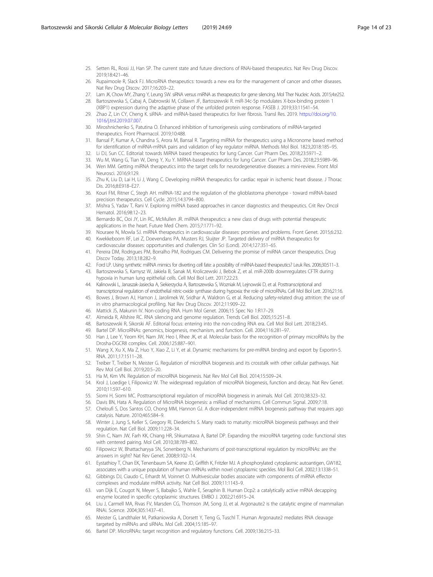- <span id="page-13-0"></span>25. Setten RL, Rossi JJ, Han SP. The current state and future directions of RNAi-based therapeutics. Nat Rev Drug Discov. 2019;18:421–46.
- 26. Rupaimoole R, Slack FJ. MicroRNA therapeutics: towards a new era for the management of cancer and other diseases. Nat Rev Drug Discov. 2017;16:203–22.
- 27. Lam JK, Chow MY, Zhang Y, Leung SW. siRNA versus miRNA as therapeutics for gene silencing. Mol Ther Nucleic Acids. 2015;4:e252. 28. Bartoszewska S, Cabaj A, Dabrowski M, Collawn JF, Bartoszewski R. miR-34c-5p modulates X-box-binding protein 1
- (XBP1) expression during the adaptive phase of the unfolded protein response. FASEB J. 2019;33:11541–54.
- 29. Zhao Z, Lin CY, Cheng K. siRNA- and miRNA-based therapeutics for liver fibrosis. Transl Res. 2019. [https://doi.org/10.](https://doi.org/10.1016/j.trsl.2019.07.007) [1016/j.trsl.2019.07.007](https://doi.org/10.1016/j.trsl.2019.07.007).
- 30. Miroshnichenko S, Patutina O. Enhanced inhibition of tumorigenesis using combinations of miRNA-targeted therapeutics. Front Pharmacol. 2019;10:488.
- 31. Bansal P, Kumar A, Chandna S, Arora M, Bansal R. Targeting miRNA for therapeutics using a Micronome based method for identification of miRNA-mRNA pairs and validation of key regulator miRNA. Methods Mol Biol. 1823;2018:185–95.
- 32. Li DJ, Sun CC. Editorial: towards MiRNA based therapeutics for lung Cancer. Curr Pharm Des. 2018;23:5971–2.
- 33. Wu M, Wang G, Tian W, Deng Y, Xu Y. MiRNA-based therapeutics for lung Cancer. Curr Pharm Des. 2018;23:5989–96.
- 34. Wen MM. Getting miRNA therapeutics into the target cells for neurodegenerative diseases: a mini-review. Front Mol Neurosci. 2016;9:129.
- 35. Zhu K, Liu D, Lai H, Li J, Wang C. Developing miRNA therapeutics for cardiac repair in ischemic heart disease. J Thorac Dis. 2016;8:E918–E27.
- 36. Kouri FM, Ritner C, Stegh AH. miRNA-182 and the regulation of the glioblastoma phenotype toward miRNA-based precision therapeutics. Cell Cycle. 2015;14:3794–800.
- 37. Mishra S, Yadav T, Rani V. Exploring miRNA based approaches in cancer diagnostics and therapeutics. Crit Rev Oncol Hematol. 2016;98:12–23.
- 38. Bernardo BC, Ooi JY, Lin RC, McMullen JR. miRNA therapeutics: a new class of drugs with potential therapeutic applications in the heart. Future Med Chem. 2015;7:1771–92.
- 39. Nouraee N, Mowla SJ. miRNA therapeutics in cardiovascular diseases: promises and problems. Front Genet. 2015;6:232. 40. Kwekkeboom RF, Lei Z, Doevendans PA, Musters RJ, Sluijter JP. Targeted delivery of miRNA therapeutics for
- cardiovascular diseases: opportunities and challenges. Clin Sci (Lond). 2014;127:351–65.
- 41. Pereira DM, Rodrigues PM, Borralho PM, Rodrigues CM. Delivering the promise of miRNA cancer therapeutics. Drug Discov Today. 2013;18:282–9.
- 42. Ford LP. Using synthetic miRNA mimics for diverting cell fate: a possibility of miRNA-based therapeutics? Leuk Res. 2006;30:511–3.
- 43. Bartoszewska S, Kamysz W, Jakiela B, Sanak M, Kroliczewski J, Bebok Z, et al. miR-200b downregulates CFTR during hypoxia in human lung epithelial cells. Cell Mol Biol Lett. 2017;22:23.
- 44. Kalinowski L, Janaszak-Jasiecka A, Siekierzycka A, Bartoszewska S, Wozniak M, Lejnowski D, et al. Posttranscriptional and transcriptional regulation of endothelial nitric-oxide synthase during hypoxia: the role of microRNAs. Cell Mol Biol Lett. 2016;21:16.
- 45. Bowes J, Brown AJ, Hamon J, Jarolimek W, Sridhar A, Waldron G, et al. Reducing safety-related drug attrition: the use of in vitro pharmacological profiling. Nat Rev Drug Discov. 2012;11:909–22.
- 46. Mattick JS, Makunin IV. Non-coding RNA. Hum Mol Genet. 2006;15 Spec No 1:R17–29.
- 47. Almeida R, Allshire RC. RNA silencing and genome regulation. Trends Cell Biol. 2005;15:251–8.
- 48. Bartoszewski R, Sikorski AF. Editorial focus: entering into the non-coding RNA era. Cell Mol Biol Lett. 2018;23:45.
- 49. Bartel DP. MicroRNAs: genomics, biogenesis, mechanism, and function. Cell. 2004;116:281–97.
- 50. Han J, Lee Y, Yeom KH, Nam JW, Heo I, Rhee JK, et al. Molecular basis for the recognition of primary microRNAs by the Drosha-DGCR8 complex. Cell. 2006;125:887–901.
- 51. Wang X, Xu X, Ma Z, Huo Y, Xiao Z, Li Y, et al. Dynamic mechanisms for pre-miRNA binding and export by Exportin-5. RNA. 2011;17:1511–28.
- 52. Treiber T, Treiber N, Meister G. Regulation of microRNA biogenesis and its crosstalk with other cellular pathways. Nat Rev Mol Cell Biol. 2019;20:5–20.
- 53. Ha M, Kim VN. Regulation of microRNA biogenesis. Nat Rev Mol Cell Biol. 2014;15:509–24.
- 54. Krol J, Loedige I, Filipowicz W. The widespread regulation of microRNA biogenesis, function and decay. Nat Rev Genet. 2010;11:597–610.
- 55. Siomi H, Siomi MC. Posttranscriptional regulation of microRNA biogenesis in animals. Mol Cell. 2010;38:323–32.
- 56. Davis BN, Hata A. Regulation of MicroRNA biogenesis: a miRiad of mechanisms. Cell Commun Signal. 2009;7:18.
- 57. Cheloufi S, Dos Santos CO, Chong MM, Hannon GJ. A dicer-independent miRNA biogenesis pathway that requires ago catalysis. Nature. 2010;465:584–9.
- 58. Winter J, Jung S, Keller S, Gregory RI, Diederichs S. Many roads to maturity: microRNA biogenesis pathways and their regulation. Nat Cell Biol. 2009;11:228–34.
- 59. Shin C, Nam JW, Farh KK, Chiang HR, Shkumatava A, Bartel DP. Expanding the microRNA targeting code: functional sites with centered pairing. Mol Cell. 2010;38:789–802.
- 60. Filipowicz W, Bhattacharyya SN, Sonenberg N. Mechanisms of post-transcriptional regulation by microRNAs: are the answers in sight? Nat Rev Genet. 2008;9:102–14.
- 61. Eystathioy T, Chan EK, Tenenbaum SA, Keene JD, Griffith K, Fritzler MJ. A phosphorylated cytoplasmic autoantigen, GW182, associates with a unique population of human mRNAs within novel cytoplasmic speckles. Mol Biol Cell. 2002;13:1338–51.
- 62. Gibbings DJ, Ciaudo C, Erhardt M, Voinnet O. Multivesicular bodies associate with components of miRNA effector complexes and modulate miRNA activity. Nat Cell Biol. 2009;11:1143–9.
- 63. van Dijk E, Cougot N, Meyer S, Babajko S, Wahle E, Seraphin B. Human Dcp2: a catalytically active mRNA decapping enzyme located in specific cytoplasmic structures. EMBO J. 2002;21:6915–24.
- 64. Liu J, Carmell MA, Rivas FV, Marsden CG, Thomson JM, Song JJ, et al. Argonaute2 is the catalytic engine of mammalian RNAi. Science. 2004;305:1437–41.
- 65. Meister G, Landthaler M, Patkaniowska A, Dorsett Y, Teng G, Tuschl T. Human Argonaute2 mediates RNA cleavage targeted by miRNAs and siRNAs. Mol Cell. 2004;15:185–97.
- 66. Bartel DP. MicroRNAs: target recognition and regulatory functions. Cell. 2009;136:215–33.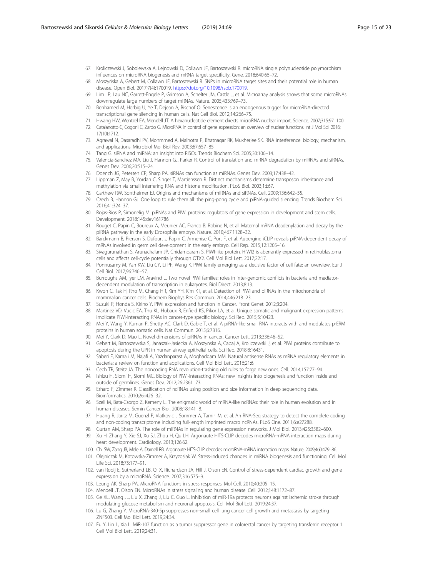- <span id="page-14-0"></span>67. Kroliczewski J, Sobolewska A, Lejnowski D, Collawn JF, Bartoszewski R. microRNA single polynucleotide polymorphism influences on microRNA biogenesis and mRNA target specificity. Gene. 2018;640:66–72.
- 68. Moszyńska A, Gebert M, Collawn JF, Bartoszewski R. SNPs in microRNA target sites and their potential role in human disease. Open Biol. 2017;7(4):170019. [https://doi.org/10.1098/rsob.170019.](https://doi.org/10.1098/rsob.170019)
- 69. Lim LP, Lau NC, Garrett-Engele P, Grimson A, Schelter JM, Castle J, et al. Microarray analysis shows that some microRNAs downregulate large numbers of target mRNAs. Nature. 2005;433:769–73.
- 70. Benhamed M, Herbig U, Ye T, Dejean A, Bischof O. Senescence is an endogenous trigger for microRNA-directed transcriptional gene silencing in human cells. Nat Cell Biol. 2012;14:266–75.
- 71. Hwang HW, Wentzel EA, Mendell JT. A hexanucleotide element directs microRNA nuclear import. Science. 2007;315:97–100.
- 72. Catalanotto C, Cogoni C, Zardo G. MicroRNA in control of gene expression: an overview of nuclear functions. Int J Mol Sci. 2016; 17(10):1712.
- 73. Agrawal N, Dasaradhi PV, Mohmmed A, Malhotra P, Bhatnagar RK, Mukherjee SK. RNA interference: biology, mechanism, and applications. Microbiol Mol Biol Rev. 2003;67:657–85.
- 74. Tang G. siRNA and miRNA: an insight into RISCs. Trends Biochem Sci. 2005;30:106–14.
- 75. Valencia-Sanchez MA, Liu J, Hannon GJ, Parker R. Control of translation and mRNA degradation by miRNAs and siRNAs. Genes Dev. 2006;20:515–24.
- 76. Doench JG, Petersen CP, Sharp PA. siRNAs can function as miRNAs. Genes Dev. 2003;17:438–42.
- 77. Lippman Z, May B, Yordan C, Singer T, Martienssen R. Distinct mechanisms determine transposon inheritance and methylation via small interfering RNA and histone modification. PLoS Biol. 2003;1:E67.
- 78. Carthew RW, Sontheimer EJ. Origins and mechanisms of miRNAs and siRNAs. Cell. 2009;136:642–55.
- 79. Czech B, Hannon GJ. One loop to rule them all: the ping-pong cycle and piRNA-guided silencing. Trends Biochem Sci. 2016;41:324–37.
- 80. Rojas-Rios P, Simonelig M. piRNAs and PIWI proteins: regulators of gene expression in development and stem cells. Development. 2018;145:dev161786.
- 81. Rouget C, Papin C, Boureux A, Meunier AC, Franco B, Robine N, et al. Maternal mRNA deadenylation and decay by the piRNA pathway in the early Drosophila embryo. Nature. 2010;467:1128–32.
- 82. Barckmann B, Pierson S, Dufourt J, Papin C, Armenise C, Port F, et al. Aubergine iCLIP reveals piRNA-dependent decay of mRNAs involved in germ cell development in the early embryo. Cell Rep. 2015;12:1205–16.
- 83. Sivagurunathan S, Arunachalam JP, Chidambaram S. PIWI-like protein, HIWI2 is aberrantly expressed in retinoblastoma cells and affects cell-cycle potentially through OTX2. Cell Mol Biol Lett. 2017;22:17.
- 84. Ponnusamy M, Yan KW, Liu CY, Li PF, Wang K. PIWI family emerging as a decisive factor of cell fate: an overview. Eur J Cell Biol. 2017;96:746–57.
- 85. Burroughs AM, Iyer LM, Aravind L. Two novel PIWI families: roles in inter-genomic conflicts in bacteria and mediatordependent modulation of transcription in eukaryotes. Biol Direct. 2013;8:13.
- 86. Kwon C, Tak H, Rho M, Chang HR, Kim YH, Kim KT, et al. Detection of PIWI and piRNAs in the mitochondria of mammalian cancer cells. Biochem Biophys Res Commun. 2014;446:218–23.
- Suzuki R, Honda S, Kirino Y. PIWI expression and function in Cancer. Front Genet. 2012;3:204.
- 88. Martinez VD, Vucic EA, Thu KL, Hubaux R, Enfield KS, Pikor LA, et al. Unique somatic and malignant expression patterns implicate PIWI-interacting RNAs in cancer-type specific biology. Sci Rep. 2015;5:10423.
- 89. Mei Y, Wang Y, Kumari P, Shetty AC, Clark D, Gable T, et al. A piRNA-like small RNA interacts with and modulates p-ERM proteins in human somatic cells. Nat Commun. 2015;6:7316.
- 90. Mei Y, Clark D, Mao L. Novel dimensions of piRNAs in cancer. Cancer Lett. 2013;336:46–52.
- 91. Gebert M, Bartoszewska S, Janaszak-Jasiecka A, Moszynska A, Cabaj A, Kroliczewski J, et al. PIWI proteins contribute to apoptosis during the UPR in human airway epithelial cells. Sci Rep. 2018;8:16431.
- 92. Saberi F, Kamali M, Najafi A, Yazdanparast A, Moghaddam MM. Natural antisense RNAs as mRNA regulatory elements in bacteria: a review on function and applications. Cell Mol Biol Lett. 2016;21:6.
- 93. Cech TR, Steitz JA. The noncoding RNA revolution-trashing old rules to forge new ones. Cell. 2014;157:77–94.
- 94. Ishizu H, Siomi H, Siomi MC. Biology of PIWI-interacting RNAs: new insights into biogenesis and function inside and outside of germlines. Genes Dev. 2012;26:2361–73.
- 95. Erhard F, Zimmer R. Classification of ncRNAs using position and size information in deep sequencing data. Bioinformatics. 2010;26:i426–32.
- 96. Szell M, Bata-Csorgo Z, Kemeny L. The enigmatic world of mRNA-like ncRNAs: their role in human evolution and in human diseases. Semin Cancer Biol. 2008;18:141–8.
- 97. Huang R, Jaritz M, Guenzl P, Vlatkovic I, Sommer A, Tamir IM, et al. An RNA-Seq strategy to detect the complete coding and non-coding transcriptome including full-length imprinted macro ncRNAs. PLoS One. 2011;6:e27288.
- 98. Gurtan AM, Sharp PA. The role of miRNAs in regulating gene expression networks. J Mol Biol. 2013;425:3582–600. 99. Xu H, Zhang Y, Xie SJ, Xu SJ, Zhou H, Qu LH. Argonaute HITS-CLIP decodes microRNA-mRNA interaction maps during heart development. Cardiology. 2013;126:62.
- 100. Chi SW, Zang JB, Mele A, Darnell RB. Argonaute HITS-CLIP decodes microRNA-mRNA interaction maps. Nature. 2009;460:479–86.
- 101. Olejniczak M, Kotowska-Zimmer A, Krzyzosiak W. Stress-induced changes in miRNA biogenesis and functioning. Cell Mol Life Sci. 2018;75:177–91.
- 102. van Rooij E, Sutherland LB, Qi X, Richardson JA, Hill J, Olson EN. Control of stress-dependent cardiac growth and gene expression by a microRNA. Science. 2007;316:575–9.
- 103. Leung AK, Sharp PA. MicroRNA functions in stress responses. Mol Cell. 2010;40:205–15.
- 104. Mendell JT, Olson EN. MicroRNAs in stress signaling and human disease. Cell. 2012;148:1172–87.
- 105. Ge XL, Wang JL, Liu X, Zhang J, Liu C, Guo L. Inhibition of miR-19a protects neurons against ischemic stroke through modulating glucose metabolism and neuronal apoptosis. Cell Mol Biol Lett. 2019;24:37.
- 106. Lu G, Zhang Y. MicroRNA-340-5p suppresses non-small cell lung cancer cell growth and metastasis by targeting ZNF503. Cell Mol Biol Lett. 2019;24:34.
- 107. Fu Y, Lin L, Xia L. MiR-107 function as a tumor suppressor gene in colorectal cancer by targeting transferrin receptor 1. Cell Mol Biol Lett. 2019;24:31.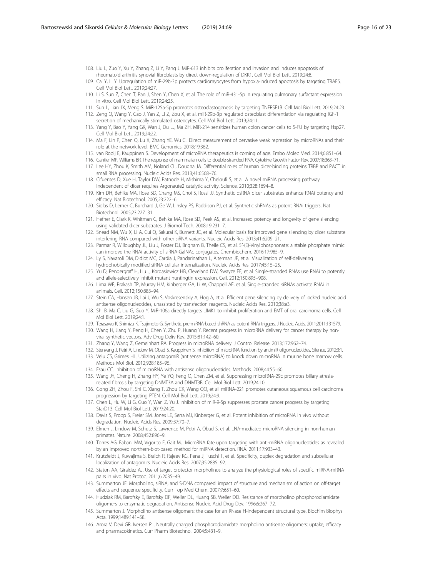- <span id="page-15-0"></span>108. Liu L, Zuo Y, Xu Y, Zhang Z, Li Y, Pang J. MiR-613 inhibits proliferation and invasion and induces apoptosis of rheumatoid arthritis synovial fibroblasts by direct down-regulation of DKK1. Cell Mol Biol Lett. 2019;24:8.
- 109. Cai Y, Li Y. Upregulation of miR-29b-3p protects cardiomyocytes from hypoxia-induced apoptosis by targeting TRAF5. Cell Mol Biol Lett. 2019;24:27.
- 110. Li S, Sun Z, Chen T, Pan J, Shen Y, Chen X, et al. The role of miR-431-5p in regulating pulmonary surfactant expression in vitro. Cell Mol Biol Lett. 2019;24:25.
- 111. Sun L, Lian JX, Meng S. MiR-125a-5p promotes osteoclastogenesis by targeting TNFRSF1B. Cell Mol Biol Lett. 2019;24:23.
- 112. Zeng Q, Wang Y, Gao J, Yan Z, Li Z, Zou X, et al. miR-29b-3p regulated osteoblast differentiation via regulating IGF-1 secretion of mechanically stimulated osteocytes. Cell Mol Biol Lett. 2019;24:11.
- 113. Yang Y, Bao Y, Yang GK, Wan J, Du LJ, Ma ZH. MiR-214 sensitizes human colon cancer cells to 5-FU by targeting Hsp27. Cell Mol Biol Lett. 2019;24:22.
- 114. Ma F, Lin P, Chen Q, Lu X, Zhang YE, Wu CI. Direct measurement of pervasive weak repression by microRNAs and their role at the network level. BMC Genomics. 2018;19:362.
- 115. van Rooij E, Kauppinen S. Development of microRNA therapeutics is coming of age. Embo Molec Med. 2014;6:851–64.
- 116. Gantier MP, Williams BR. The response of mammalian cells to double-stranded RNA. Cytokine Growth Factor Rev. 2007;18:363–71.
- 117. Lee HY, Zhou K, Smith AM, Noland CL, Doudna JA. Differential roles of human dicer-binding proteins TRBP and PACT in small RNA processing. Nucleic Acids Res. 2013;41:6568–76.
- 118. Cifuentes D, Xue H, Taylor DW, Patnode H, Mishima Y, Cheloufi S, et al. A novel miRNA processing pathway independent of dicer requires Argonaute2 catalytic activity. Science. 2010;328:1694–8.
- 119. Kim DH, Behlke MA, Rose SD, Chang MS, Choi S, Rossi JJ. Synthetic dsRNA dicer substrates enhance RNAi potency and efficacy. Nat Biotechnol. 2005;23:222–6.
- 120. Siolas D, Lerner C, Burchard J, Ge W, Linsley PS, Paddison PJ, et al. Synthetic shRNAs as potent RNAi triggers. Nat Biotechnol. 2005;23:227–31.
- 121. Hefner E, Clark K, Whitman C, Behlke MA, Rose SD, Peek AS, et al. Increased potency and longevity of gene silencing using validated dicer substrates. J Biomol Tech. 2008;19:231–7.
- 122. Snead NM, Wu X, Li A, Cui Q, Sakurai K, Burnett JC, et al. Molecular basis for improved gene silencing by dicer substrate interfering RNA compared with other siRNA variants. Nucleic Acids Res. 2013;41:6209–21.
- 123. Parmar R, Willoughby JL, Liu J, Foster DJ, Brigham B, Theile CS, et al. 5′-(E)-Vinylphosphonate: a stable phosphate mimic can improve the RNAi activity of siRNA-GalNAc conjugates. Chembiochem. 2016;17:985–9.
- 124. Ly S, Navaroli DM, Didiot MC, Cardia J, Pandarinathan L, Alterman JF, et al. Visualization of self-delivering hydrophobically modified siRNA cellular internalization. Nucleic Acids Res. 2017;45:15–25.
- 125. Yu D, Pendergraff H, Liu J, Kordasiewicz HB, Cleveland DW, Swayze EE, et al. Single-stranded RNAs use RNAi to potently and allele-selectively inhibit mutant huntingtin expression. Cell. 2012;150:895–908.
- 126. Lima WF, Prakash TP, Murray HM, Kinberger GA, Li W, Chappell AE, et al. Single-stranded siRNAs activate RNAi in animals. Cell. 2012;150:883–94.
- 127. Stein CA, Hansen JB, Lai J, Wu S, Voskresenskiy A, Hog A, et al. Efficient gene silencing by delivery of locked nucleic acid antisense oligonucleotides, unassisted by transfection reagents. Nucleic Acids Res. 2010;38:e3.
- 128. Shi B, Ma C, Liu G, Guo Y. MiR-106a directly targets LIMK1 to inhibit proliferation and EMT of oral carcinoma cells. Cell Mol Biol Lett. 2019;24:1.
- 129. Terasawa K, Shimizu K, Tsujimoto G. Synthetic pre-miRNA-based shRNA as potent RNAi triggers. J Nucleic Acids. 2011;2011:131579.
- 130. Wang H, Jiang Y, Peng H, Chen Y, Zhu P, Huang Y. Recent progress in microRNA delivery for cancer therapy by nonviral synthetic vectors. Adv Drug Deliv Rev. 2015;81:142–60.
- 131. Zhang Y, Wang Z, Gemeinhart RA. Progress in microRNA delivery. J Control Release. 2013;172:962–74.
- 132. Stenvang J, Petri A, Lindow M, Obad S, Kauppinen S. Inhibition of microRNA function by antimiR oligonucleotides. Silence. 2012;3:1.
- 133. Velu CS, Grimes HL. Utilizing antagomiR (antisense microRNA) to knock down microRNA in murine bone marrow cells. Methods Mol Biol. 2012;928:185–95.
- 134. Esau CC. Inhibition of microRNA with antisense oligonucleotides. Methods. 2008;44:55–60.
- 135. Wang JY, Cheng H, Zhang HY, Ye YQ, Feng Q, Chen ZM, et al. Suppressing microRNA-29c promotes biliary atresiarelated fibrosis by targeting DNMT3A and DNMT3B. Cell Mol Biol Lett. 2019;24:10.
- 136. Gong ZH, Zhou F, Shi C, Xiang T, Zhou CK, Wang QQ, et al. miRNA-221 promotes cutaneous squamous cell carcinoma progression by targeting PTEN. Cell Mol Biol Lett. 2019;24:9.
- 137. Chen L, Hu W, Li G, Guo Y, Wan Z, Yu J. Inhibition of miR-9-5p suppresses prostate cancer progress by targeting StarD13. Cell Mol Biol Lett. 2019;24:20.
- 138. Davis S, Propp S, Freier SM, Jones LE, Serra MJ, Kinberger G, et al. Potent inhibition of microRNA in vivo without degradation. Nucleic Acids Res. 2009;37:70–7.
- 139. Elmen J, Lindow M, Schutz S, Lawrence M, Petri A, Obad S, et al. LNA-mediated microRNA silencing in non-human primates. Nature. 2008;452:896–9.
- 140. Torres AG, Fabani MM, Vigorito E, Gait MJ. MicroRNA fate upon targeting with anti-miRNA oligonucleotides as revealed by an improved northern-blot-based method for miRNA detection. RNA. 2011;17:933–43.
- 141. Krutzfeldt J, Kuwajima S, Braich R, Rajeev KG, Pena J, Tuschl T, et al. Specificity, duplex degradation and subcellular localization of antagomirs. Nucleic Acids Res. 2007;35:2885–92.
- 142. Staton AA, Giraldez AJ. Use of target protector morpholinos to analyze the physiological roles of specific miRNA-mRNA pairs in vivo. Nat Protoc. 2011;6:2035–49.
- 143. Summerton JE. Morpholino, siRNA, and S-DNA compared: impact of structure and mechanism of action on off-target effects and sequence specificity. Curr Top Med Chem. 2007;7:651–60.
- 144. Hudziak RM, Barofsky E, Barofsky DF, Weller DL, Huang SB, Weller DD. Resistance of morpholino phosphorodiamidate oligomers to enzymatic degradation. Antisense Nucleic Acid Drug Dev. 1996;6:267–72.
- 145. Summerton J. Morpholino antisense oligomers: the case for an RNase H-independent structural type. Biochim Biophys Acta. 1999;1489:141–58.
- 146. Arora V, Devi GR, Iversen PL. Neutrally charged phosphorodiamidate morpholino antisense oligomers: uptake, efficacy and pharmacokinetics. Curr Pharm Biotechnol. 2004;5:431–9.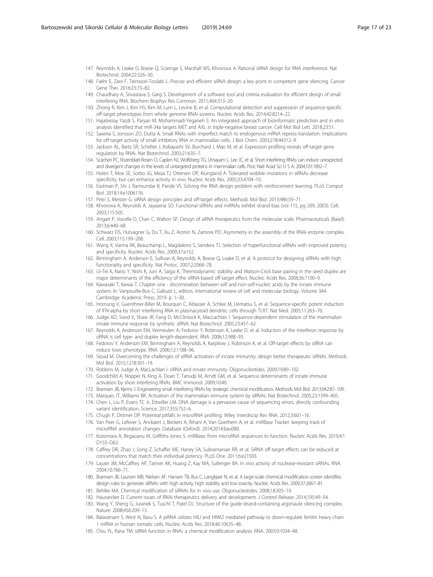- <span id="page-16-0"></span>147. Reynolds A, Leake D, Boese Q, Scaringe S, Marshall WS, Khvorova A. Rational siRNA design for RNA interference. Nat Biotechnol. 2004;22:326–30.
- 148. Fakhr E, Zare F, Teimoori-Toolabi L. Precise and efficient siRNA design: a key point in competent gene silencing. Cancer Gene Ther. 2016;23:73–82.
- 149. Chaudhary A, Srivastava S, Garg S. Development of a software tool and criteria evaluation for efficient design of small interfering RNA. Biochem Biophys Res Commun. 2011;404:313–20.
- 150. Zhong R, Kim J, Kim HS, Kim M, Lum L, Levine B, et al. Computational detection and suppression of sequence-specific off-target phenotypes from whole genome RNAi screens. Nucleic Acids Res. 2014;42:8214–22.
- 151. Hajalirezay Yazdi S, Paryan M, Mohammadi-Yeganeh S. An integrated approach of bioinformatic prediction and in vitro analysis identified that miR-34a targets MET and AXL in triple-negative breast cancer. Cell Mol Biol Lett. 2018;23:51.
- 152. Saxena S, Jonsson ZO, Dutta A. Small RNAs with imperfect match to endogenous mRNA repress translation. Implications for off-target activity of small inhibitory RNA in mammalian cells. J Biol Chem. 2003;278:44312–9.
- 153. Jackson AL, Bartz SR, Schelter J, Kobayashi SV, Burchard J, Mao M, et al. Expression profiling reveals off-target gene regulation by RNAi. Nat Biotechnol. 2003;21:635–7.
- 154. Scacheri PC, Rozenblatt-Rosen O, Caplen NJ, Wolfsberg TG, Umayam L, Lee JC, et al. Short interfering RNAs can induce unexpected and divergent changes in the levels of untargeted proteins in mammalian cells. Proc Natl Acad Sci U S A. 2004;101:1892–7.
- 155. Holen T, Moe SE, Sorbo JG, Meza TJ, Ottersen OP, Klungland A. Tolerated wobble mutations in siRNAs decrease specificity, but can enhance activity in vivo. Nucleic Acids Res. 2005;33:4704–10.
- 156. Eastman P, Shi J, Ramsundar B, Pande VS. Solving the RNA design problem with reinforcement learning. PLoS Comput Biol. 2018;14:e1006176.
- 157. Petri S, Meister G. siRNA design principles and off-target effects. Methods Mol Biol. 2013;986:59–71.
- 158. Khvorova A, Reynolds A, Jayasena SD. Functional siRNAs and miRNAs exhibit strand bias (vol 115, pg 209, 2003). Cell. 2003;115:505.
- 159. Angart P, Vocelle D, Chan C, Walton SP. Design of siRNA therapeutics from the molecular scale. Pharmaceuticals (Basel). 2013;6:440–68.
- 160. Schwarz DS, Hutvagner G, Du T, Xu Z, Aronin N, Zamore PD. Asymmetry in the assembly of the RNAi enzyme complex. Cell. 2003;115:199–208.
- 161. Wang X, Varma RK, Beauchamp L, Magdaleno S, Sendera TJ. Selection of hyperfunctional siRNAs with improved potency and specificity. Nucleic Acids Res. 2009;37:e152.
- 162. Birmingham A, Anderson E, Sullivan K, Reynolds A, Boese Q, Leake D, et al. A protocol for designing siRNAs with high functionality and specificity. Nat Protoc. 2007;2:2068–78.
- 163. Ui-Tei K, Naito Y, Nishi K, Juni A, Saigo K. Thermodynamic stability and Watson-Crick base pairing in the seed duplex are major determinants of the efficiency of the siRNA-based off-target effect. Nucleic Acids Res. 2008;36:7100–9.
- 164. Kawasaki T, Kawai T. Chapter one discrimination between self and non-self-nucleic acids by the innate immune system. In: Vanpouille-Box C, Galluzzi L, editors. International review of cell and molecular biology. Volume 344. Cambridge: Academic Press; 2019. p. 1–30.
- 165. Hornung V, Guenthner-Biller M, Bourquin C, Ablasser A, Schlee M, Uematsu S, et al. Sequence-specific potent induction of IFN-alpha by short interfering RNA in plasmacytoid dendritic cells through TLR7. Nat Med. 2005;11:263–70.
- 166. Judge AD, Sood V, Shaw JR, Fang D, McClintock K, MacLachlan I. Sequence-dependent stimulation of the mammalian innate immune response by synthetic siRNA. Nat Biotechnol. 2005;23:457–62.
- 167. Reynolds A, Anderson EM, Vermeulen A, Fedorov Y, Robinson K, Leake D, et al. Induction of the interferon response by siRNA is cell type- and duplex length-dependent. RNA. 2006;12:988–93.
- 168. Fedorov Y, Anderson EM, Birmingham A, Reynolds A, Karpilow J, Robinson K, et al. Off-target effects by siRNA can induce toxic phenotype. RNA. 2006;12:1188–96.
- 169. Sioud M. Overcoming the challenges of siRNA activation of innate immunity: design better therapeutic siRNAs. Methods Mol Biol. 2015;1218:301–19.
- 170. Robbins M, Judge A, MacLachlan I. siRNA and innate immunity. Oligonucleotides. 2009;19:89–102.
- 171. Goodchild A, Nopper N, King A, Doan T, Tanudji M, Arndt GM, et al. Sequence determinants of innate immune activation by short interfering RNAs. BMC Immunol. 2009;10:40.
- 172. Bramsen JB, Kjems J. Engineering small interfering RNAs by strategic chemical modification. Methods Mol Biol. 2013;942:87–109.
- 173. Marques JT, Williams BR. Activation of the mammalian immune system by siRNAs. Nat Biotechnol. 2005;23:1399–405.
- 174. Chen L, Liu P, Evans TC Jr, Ettwiller LM. DNA damage is a pervasive cause of sequencing errors, directly confounding variant identification. Science. 2017;355:752–6.
- 175. Chugh P, Dittmer DP. Potential pitfalls in microRNA profiling. Wiley Interdiscip Rev RNA. 2012;3:601–16.
- 176. Van Peer G, Lefever S, Anckaert J, Beckers A, Rihani A, Van Goethem A, et al. miRBase Tracker: keeping track of microRNA annotation changes. Database (Oxford). 2014;2014:bau080.
- 177. Kozomara A, Birgaoanu M, Griffiths-Jones S. miRBase: from microRNA sequences to function. Nucleic Acids Res. 2019;47: D155–D62.
- 178. Caffrey DR, Zhao J, Song Z, Schaffer ME, Haney SA, Subramanian RR, et al. SiRNA off-target effects can be reduced at concentrations that match their individual potency. PLoS One. 2011;6:e21503.
- 179. Layzer JM, McCaffrey AP, Tanner AK, Huang Z, Kay MA, Sullenger BA. In vivo activity of nuclease-resistant siRNAs. RNA. 2004;10:766–71.
- 180. Bramsen JB, Laursen MB, Nielsen AF, Hansen TB, Bus C, Langkjaer N, et al. A large-scale chemical modification screen identifies design rules to generate siRNAs with high activity, high stability and low toxicity. Nucleic Acids Res. 2009;37:2867–81.
- 181. Behlke MA. Chemical modification of siRNAs for in vivo use. Oligonucleotides. 2008;18:305–19.
- 182. Haussecker D. Current issues of RNAi therapeutics delivery and development. J Control Release. 2014;195:49–54.
- 183. Wang Y, Sheng G, Juranek S, Tuschl T, Patel DJ. Structure of the guide-strand-containing argonaute silencing complex. Nature. 2008;456:209–13.
- 184. Balaratnam S, West N, Basu S. A piRNA utilizes HILI and HIWI2 mediated pathway to down-regulate ferritin heavy chain 1 mRNA in human somatic cells. Nucleic Acids Res. 2018;46:10635–48.
- 185. Chiu YL, Rana TM. siRNA function in RNAi: a chemical modification analysis. RNA. 2003;9:1034–48.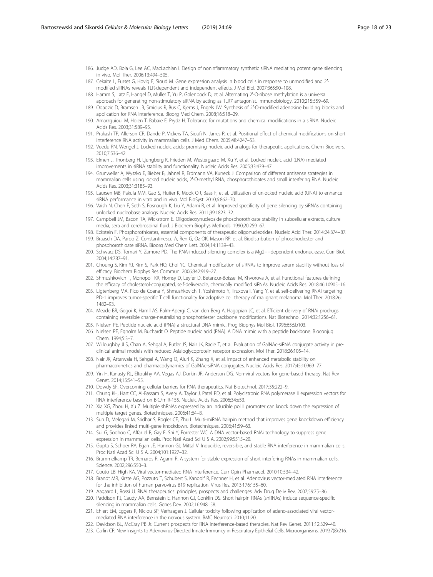- <span id="page-17-0"></span>186. Judge AD, Bola G, Lee AC, MacLachlan I. Design of noninflammatory synthetic siRNA mediating potent gene silencing in vivo. Mol Ther. 2006;13:494–505.
- 187. Cekaite L, Furset G, Hovig E, Sioud M. Gene expression analysis in blood cells in response to unmodified and 2'modified siRNAs reveals TLR-dependent and independent effects. J Mol Biol. 2007;365:90–108.
- 188. Hamm S, Latz E, Hangel D, Muller T, Yu P, Golenbock D, et al. Alternating 2′-O-ribose methylation is a universal approach for generating non-stimulatory siRNA by acting as TLR7 antagonist. Immunobiology. 2010;215:559–69.
- 189. Odadzic D, Bramsen JB, Smicius R, Bus C, Kjems J, Engels JW. Synthesis of 2′-O-modified adenosine building blocks and application for RNA interference. Bioorg Med Chem. 2008;16:518–29.
- 190. Amarzguioui M, Holen T, Babaie E, Prydz H. Tolerance for mutations and chemical modifications in a siRNA. Nucleic Acids Res. 2003;31:589–95.
- 191. Prakash TP, Allerson CR, Dande P, Vickers TA, Sioufi N, Jarres R, et al. Positional effect of chemical modifications on short interference RNA activity in mammalian cells. J Med Chem. 2005;48:4247–53.
- 192. Veedu RN, Wengel J. Locked nucleic acids: promising nucleic acid analogs for therapeutic applications. Chem Biodivers. 2010;7:536–42.
- 193. Elmen J, Thonberg H, Ljungberg K, Frieden M, Westergaard M, Xu Y, et al. Locked nucleic acid (LNA) mediated improvements in siRNA stability and functionality. Nucleic Acids Res. 2005;33:439–47.
- 194. Grunweller A, Wyszko E, Bieber B, Jahnel R, Erdmann VA, Kurreck J. Comparison of different antisense strategies in mammalian cells using locked nucleic acids, 2′-O-methyl RNA, phosphorothioates and small interfering RNA. Nucleic Acids Res. 2003;31:3185–93.
- 195. Laursen MB, Pakula MM, Gao S, Fluiter K, Mook OR, Baas F, et al. Utilization of unlocked nucleic acid (UNA) to enhance siRNA performance in vitro and in vivo. Mol BioSyst. 2010;6:862–70.
- 196. Vaish N, Chen F, Seth S, Fosnaugh K, Liu Y, Adami R, et al. Improved specificity of gene silencing by siRNAs containing unlocked nucleobase analogs. Nucleic Acids Res. 2011;39:1823–32.
- 197. Campbell JM, Bacon TA, Wickstrom E. Oligodeoxynucleoside phosphorothioate stability in subcellular extracts, culture media, sera and cerebrospinal fluid. J Biochem Biophys Methods. 1990;20:259–67.
- 198. Eckstein F. Phosphorothioates, essential components of therapeutic oligonucleotides. Nucleic Acid Ther. 2014;24:374–87.
- 199. Braasch DA, Paroo Z, Constantinescu A, Ren G, Oz OK, Mason RP, et al. Biodistribution of phosphodiester and phosphorothioate siRNA. Bioorg Med Chem Lett. 2004;14:1139–43.
- 200. Schwarz DS, Tomari Y, Zamore PD. The RNA-induced silencing complex is a Mg2+−dependent endonuclease. Curr Biol. 2004;14:787–91.
- 201. Choung S, Kim YJ, Kim S, Park HO, Choi YC. Chemical modification of siRNAs to improve serum stability without loss of efficacy. Biochem Biophys Res Commun. 2006;342:919–27.
- 202. Shmushkovich T, Monopoli KR, Homsy D, Leyfer D, Betancur-Boissel M, Khvorova A, et al. Functional features defining the efficacy of cholesterol-conjugated, self-deliverable, chemically modified siRNAs. Nucleic Acids Res. 2018;46:10905–16.
- 203. Ligtenberg MA. Pico de Coana Y, Shmushkovich T, Yoshimoto Y, Truxova I, Yang Y, et al. self-delivering RNAi targeting PD-1 improves tumor-specific T cell functionality for adoptive cell therapy of malignant melanoma. Mol Ther. 2018;26: 1482–93.
- 204. Meade BR, Gogoi K, Hamil AS, Palm-Apergi C, van den Berg A, Hagopian JC, et al. Efficient delivery of RNAi prodrugs containing reversible charge-neutralizing phosphotriester backbone modifications. Nat Biotechnol. 2014;32:1256–61.
- 205. Nielsen PE. Peptide nucleic acid (PNA) a structural DNA mimic. Prog Biophys Mol Biol. 1996;65:Sb103.
- 206. Nielsen PE, Egholm M, Buchardt O. Peptide nucleic acid (PNA). A DNA mimic with a peptide backbone. Bioconjug Chem. 1994;5:3–7.
- 207. Willoughby JLS, Chan A, Sehgal A, Butler JS, Nair JK, Racie T, et al. Evaluation of GalNAc-siRNA conjugate activity in preclinical animal models with reduced Asialoglycoprotein receptor expression. Mol Ther. 2018;26:105–14.
- 208. Nair JK, Attarwala H, Sehgal A, Wang Q, Aluri K, Zhang X, et al. Impact of enhanced metabolic stability on pharmacokinetics and pharmacodynamics of GalNAc-siRNA conjugates. Nucleic Acids Res. 2017;45:10969–77.
- 209. Yin H, Kanasty RL, Eltoukhy AA, Vegas AJ, Dorkin JR, Anderson DG. Non-viral vectors for gene-based therapy. Nat Rev Genet. 2014;15:541–55.
- 210. Dowdy SF. Overcoming cellular barriers for RNA therapeutics. Nat Biotechnol. 2017;35:222–9.
- 211. Chung KH, Hart CC, Al-Bassam S, Avery A, Taylor J, Patel PD, et al. Polycistronic RNA polymerase II expression vectors for RNA interference based on BIC/miR-155. Nucleic Acids Res. 2006;34:e53.
- 212. Xia XG, Zhou H, Xu Z. Multiple shRNAs expressed by an inducible pol II promoter can knock down the expression of multiple target genes. Biotechniques. 2006;41:64–8.
- 213. Sun D, Melegari M, Sridhar S, Rogler CE, Zhu L. Multi-miRNA hairpin method that improves gene knockdown efficiency and provides linked multi-gene knockdown. Biotechniques. 2006;41:59–63.
- 214. Sui G, Soohoo C, Affar el B, Gay F, Shi Y, Forrester WC. A DNA vector-based RNAi technology to suppress gene expression in mammalian cells. Proc Natl Acad Sci U S A. 2002;99:5515–20.
- 215. Gupta S, Schoer RA, Egan JE, Hannon GJ, Mittal V. Inducible, reversible, and stable RNA interference in mammalian cells. Proc Natl Acad Sci U S A. 2004;101:1927–32.
- 216. Brummelkamp TR, Bernards R, Agami R. A system for stable expression of short interfering RNAs in mammalian cells. Science. 2002;296:550–3.
- 217. Couto LB, High KA. Viral vector-mediated RNA interference. Curr Opin Pharmacol. 2010;10:534–42.
- 218. Brandt MR, Kirste AG, Pozzuto T, Schubert S, Kandolf R, Fechner H, et al. Adenovirus vector-mediated RNA interference for the inhibition of human parvovirus B19 replication. Virus Res. 2013;176:155–60.
- 219. Aagaard L, Rossi JJ. RNAi therapeutics: principles, prospects and challenges. Adv Drug Deliv Rev. 2007;59:75–86.
- 220. Paddison PJ, Caudy AA, Bernstein E, Hannon GJ, Conklin DS. Short hairpin RNAs (shRNAs) induce sequence-specific silencing in mammalian cells. Genes Dev. 2002;16:948–58.
- 221. Ehlert EM, Eggers R, Niclou SP, Verhaagen J. Cellular toxicity following application of adeno-associated viral vectormediated RNA interference in the nervous system. BMC Neurosci. 2010;11:20.
- 222. Davidson BL, McCray PB Jr. Current prospects for RNA interference-based therapies. Nat Rev Genet. 2011;12:329–40.
- 223. Carlin CR. New Insights to Adenovirus-Directed Innate Immunity in Respiratory Epithelial Cells. Microorganisms. 2019;7(8):216.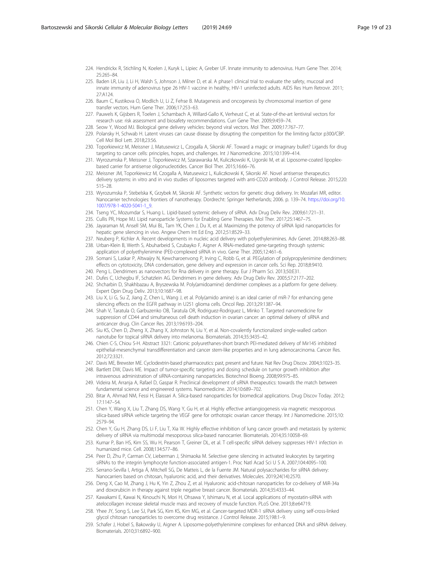- <span id="page-18-0"></span>224. Hendrickx R, Stichling N, Koelen J, Kuryk L, Lipiec A, Greber UF. Innate immunity to adenovirus. Hum Gene Ther. 2014; 25:265–84.
- 225. Baden LR, Liu J, Li H, Walsh S, Johnson J, Milner D, et al. A phase1 clinical trial to evaluate the safety, mucosal and innate immunity of adenovirus type 26 HIV-1 vaccine in healthy, HIV-1 uninfected adults. AIDS Res Hum Retrovir. 2011; 27:A124.
- 226. Baum C, Kustikova O, Modlich U, Li Z, Fehse B. Mutagenesis and oncogenesis by chromosomal insertion of gene transfer vectors. Hum Gene Ther. 2006;17:253–63.
- 227. Pauwels K, Gijsbers R, Toelen J, Schambach A, Willard-Gallo K, Verheust C, et al. State-of-the-art lentiviral vectors for research use: risk assessment and biosafety recommendations. Curr Gene Ther. 2009;9:459–74.
- 228. Seow Y, Wood MJ. Biological gene delivery vehicles: beyond viral vectors. Mol Ther. 2009;17:767–77.
- 229. Polansky H, Schwab H. Latent viruses can cause disease by disrupting the competition for the limiting factor p300/CBP. Cell Mol Biol Lett. 2018;23:56.
- 230. Toporkiewicz M, Meissner J, Matusewicz L, Czogalla A, Sikorski AF. Toward a magic or imaginary bullet? Ligands for drug targeting to cancer cells: principles, hopes, and challenges. Int J Nanomedicine. 2015;10:1399–414.
- 231. Wyrozumska P, Meissner J, Toporkiewicz M, Szarawarska M, Kuliczkowski K, Ugorski M, et al. Liposome-coated lipoplexbased carrier for antisense oligonucleotides. Cancer Biol Ther. 2015;16:66–76.
- 232. Meissner JM, Toporkiewicz M, Czogalla A, Matusewicz L, Kuliczkowski K, Sikorski AF. Novel antisense therapeutics delivery systems: in vitro and in vivo studies of liposomes targeted with anti-CD20 antibody. J Control Release. 2015;220: 515–28.
- 233. Wyrozumska P, Stebelska K, Grzybek M, Sikorski AF. Synthetic vectors for genetic drug delivery. In: Mozafari MR, editor. Nanocarrier technologies: frontiers of nanotherapy. Dordrecht: Springer Netherlands; 2006. p. 139–74. [https://doi.org/10.](https://doi.org/10.1007/978-1-4020-5041-1_9) [1007/978-1-4020-5041-1\\_9](https://doi.org/10.1007/978-1-4020-5041-1_9).
- 234. Tseng YC, Mozumdar S, Huang L. Lipid-based systemic delivery of siRNA. Adv Drug Deliv Rev. 2009;61:721–31.
- 235. Cullis PR, Hope MJ. Lipid nanoparticle Systems for Enabling Gene Therapies. Mol Ther. 2017;25:1467–75.
- 236. Jayaraman M, Ansell SM, Mui BL, Tam YK, Chen J, Du X, et al. Maximizing the potency of siRNA lipid nanoparticles for hepatic gene silencing in vivo. Angew Chem Int Ed Eng. 2012;51:8529–33.
- 237. Neuberg P, Kichler A. Recent developments in nucleic acid delivery with polyethylenimines. Adv Genet. 2014;88:263–88. 238. Urban-Klein B, Werth S, Abuharbeid S, Czubayko F, Aigner A. RNAi-mediated gene-targeting through systemic
- application of polyethylenimine (PEI)-complexed siRNA in vivo. Gene Ther. 2005;12:461–6.
- 239. Somani S, Laskar P, Altwaijry N, Kewcharoenvong P, Irving C, Robb G, et al. PEGylation of polypropylenimine dendrimers: effects on cytotoxicity, DNA condensation, gene delivery and expression in cancer cells. Sci Rep. 2018;8:9410.
- 240. Peng L. Dendrimers as nanovectors for Rna delivery in gene therapy. Eur J Pharm Sci. 2013;50:E31.
- 241. Dufes C, Uchegbu IF, Schatzlein AG. Dendrimers in gene delivery. Adv Drug Deliv Rev. 2005;57:2177–202.
- 242. Shcharbin D, Shakhbazau A, Bryszewska M. Poly(amidoamine) dendrimer complexes as a platform for gene delivery. Expert Opin Drug Deliv. 2013;10:1687–98.
- 243. Liu X, Li G, Su Z, Jiang Z, Chen L, Wang J, et al. Poly(amido amine) is an ideal carrier of miR-7 for enhancing gene silencing effects on the EGFR pathway in U251 glioma cells. Oncol Rep. 2013;29:1387–94.
- 244. Shah V, Taratula O, Garbuzenko OB, Taratula OR, Rodriguez-Rodriguez L, Minko T. Targeted nanomedicine for suppression of CD44 and simultaneous cell death induction in ovarian cancer: an optimal delivery of siRNA and anticancer drug. Clin Cancer Res. 2013;19:6193–204.
- 245. Siu KS, Chen D, Zheng X, Zhang X, Johnston N, Liu Y, et al. Non-covalently functionalized single-walled carbon nanotube for topical siRNA delivery into melanoma. Biomaterials. 2014;35:3435–42.
- 246. Chien C-S, Chiou S-H. Abstract 3321: Cationic polyurethanes-short branch PEI-mediated delivery of Mir145 inhibited epithelial-mesenchymal transdifferentiation and cancer stem-like properties and in lung adenocarcinoma. Cancer Res. 2012;72:3321.
- 247. Davis ME, Brewster ME. Cyclodextrin-based pharmaceutics: past, present and future. Nat Rev Drug Discov. 2004;3:1023–35.
- 248. Bartlett DW, Davis ME. Impact of tumor-specific targeting and dosing schedule on tumor growth inhibition after intravenous administration of siRNA-containing nanoparticles. Biotechnol Bioeng. 2008;99:975–85.
- 249. Videira M, Arranja A, Rafael D, Gaspar R. Preclinical development of siRNA therapeutics: towards the match between fundamental science and engineered systems. Nanomedicine. 2014;10:689–702.
- 250. Bitar A, Ahmad NM, Fessi H, Elaissari A. Silica-based nanoparticles for biomedical applications. Drug Discov Today. 2012; 17:1147–54.
- 251. Chen Y, Wang X, Liu T, Zhang DS, Wang Y, Gu H, et al. Highly effective antiangiogenesis via magnetic mesoporous silica-based siRNA vehicle targeting the VEGF gene for orthotopic ovarian cancer therapy. Int J Nanomedicine. 2015;10: 2579–94.
- 252. Chen Y, Gu H, Zhang DS, Li F, Liu T, Xia W. Highly effective inhibition of lung cancer growth and metastasis by systemic delivery of siRNA via multimodal mesoporous silica-based nanocarrier. Biomaterials. 2014;35:10058–69.
- 253. Kumar P, Ban HS, Kim SS, Wu H, Pearson T, Greiner DL, et al. T cell-specific siRNA delivery suppresses HIV-1 infection in humanized mice. Cell. 2008;134:577–86.
- 254. Peer D, Zhu P, Carman CV, Lieberman J, Shimaoka M. Selective gene silencing in activated leukocytes by targeting siRNAs to the integrin lymphocyte function-associated antigen-1. Proc Natl Acad Sci U S A. 2007;104:4095–100.
- 255. Serrano-Sevilla I, Artiga Á, Mitchell SG, De Matteis L, de la Fuente JM. Natural polysaccharides for siRNA delivery: Nanocarriers based on chitosan, hyaluronic acid, and their derivatives. Molecules. 2019;24(14):2570.
- 256. Deng X, Cao M, Zhang J, Hu K, Yin Z, Zhou Z, et al. Hyaluronic acid-chitosan nanoparticles for co-delivery of MiR-34a and doxorubicin in therapy against triple negative breast cancer. Biomaterials. 2014;35:4333–44.
- 257. Kawakami E, Kawai N, Kinouchi N, Mori H, Ohsawa Y, Ishimaru N, et al. Local applications of myostatin-siRNA with atelocollagen increase skeletal muscle mass and recovery of muscle function. PLoS One. 2013;8:e64719.
- 258. Yhee JY, Song S, Lee SJ, Park SG, Kim KS, Kim MG, et al. Cancer-targeted MDR-1 siRNA delivery using self-cross-linked glycol chitosan nanoparticles to overcome drug resistance. J Control Release. 2015;198:1–9.
- 259. Schafer J, Hobel S, Bakowsky U, Aigner A. Liposome-polyethylenimine complexes for enhanced DNA and siRNA delivery. Biomaterials. 2010;31:6892–900.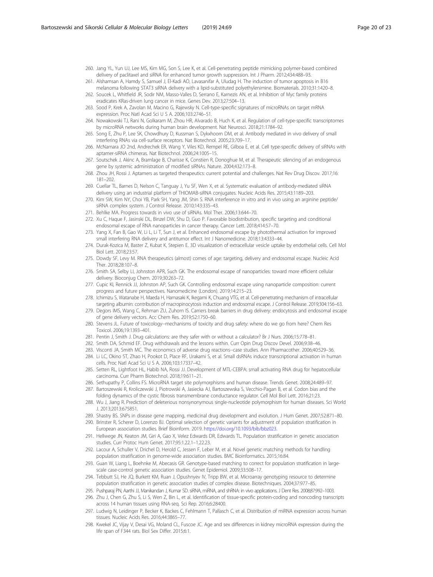- <span id="page-19-0"></span>260. Jang YL, Yun UJ, Lee MS, Kim MG, Son S, Lee K, et al. Cell-penetrating peptide mimicking polymer-based combined delivery of paclitaxel and siRNA for enhanced tumor growth suppression. Int J Pharm. 2012;434:488–93.
- 261. Alshamsan A, Hamdy S, Samuel J, El-Kadi AO, Lavasanifar A, Uludag H. The induction of tumor apoptosis in B16 melanoma following STAT3 siRNA delivery with a lipid-substituted polyethylenimine. Biomaterials. 2010;31:1420–8.
- 262. Soucek L, Whitfield JR, Sodir NM, Masso-Valles D, Serrano E, Karnezis AN, et al. Inhibition of Myc family proteins eradicates KRas-driven lung cancer in mice. Genes Dev. 2013;27:504–13.
- 263. Sood P, Krek A, Zavolan M, Macino G, Rajewsky N. Cell-type-specific signatures of microRNAs on target mRNA expression. Proc Natl Acad Sci U S A. 2006;103:2746–51.
- 264. Nowakowski TJ, Rani N, Golkaram M, Zhou HR, Alvarado B, Huch K, et al. Regulation of cell-type-specific transcriptomes by microRNA networks during human brain development. Nat Neurosci. 2018;21:1784–92.
- 265. Song E, Zhu P, Lee SK, Chowdhury D, Kussman S, Dykxhoorn DM, et al. Antibody mediated in vivo delivery of small interfering RNAs via cell-surface receptors. Nat Biotechnol. 2005;23:709–17.
- 266. McNamara JO 2nd, Andrechek ER, Wang Y, Viles KD, Rempel RE, Gilboa E, et al. Cell type-specific delivery of siRNAs with aptamer-siRNA chimeras. Nat Biotechnol. 2006;24:1005–15.
- 267. Soutschek J, Akinc A, Bramlage B, Charisse K, Constien R, Donoghue M, et al. Therapeutic silencing of an endogenous gene by systemic administration of modified siRNAs. Nature. 2004;432:173–8.
- 268. Zhou JH, Rossi J. Aptamers as targeted therapeutics: current potential and challenges. Nat Rev Drug Discov. 2017;16: 181–202.
- 269. Cuellar TL, Barnes D, Nelson C, Tanguay J, Yu SF, Wen X, et al. Systematic evaluation of antibody-mediated siRNA delivery using an industrial platform of THIOMAB-siRNA conjugates. Nucleic Acids Res. 2015;43:1189–203.
- 270. Kim SW, Kim NY, Choi YB, Park SH, Yang JM, Shin S. RNA interference in vitro and in vivo using an arginine peptide/ siRNA complex system. J Control Release. 2010;143:335–43.
- 271. Behlke MA. Progress towards in vivo use of siRNAs. Mol Ther. 2006;13:644–70.
- 272. Xu C, Haque F, Jasinski DL, Binzel DW, Shu D, Guo P. Favorable biodistribution, specific targeting and conditional endosomal escape of RNA nanoparticles in cancer therapy. Cancer Lett. 2018;414:57–70.
- 273. Yang X, Fan B, Gao W, Li L, Li T, Sun J, et al. Enhanced endosomal escape by photothermal activation for improved small interfering RNA delivery and antitumor effect. Int J Nanomedicine. 2018;13:4333–44.
- 274. Durak-Kozica M, Baster Z, Kubat K, Stepien E. 3D visualization of extracellular vesicle uptake by endothelial cells. Cell Mol Biol Lett. 2018;23:57.
- 275. Dowdy SF, Levy M. RNA therapeutics (almost) comes of age: targeting, delivery and endosomal escape. Nucleic Acid Ther. 2018;28:107–8.
- 276. Smith SA, Selby LI, Johnston APR, Such GK. The endosomal escape of nanoparticles: toward more efficient cellular delivery. Bioconjug Chem. 2019;30:263–72.
- 277. Cupic KI, Rennick JJ, Johnston AP, Such GK. Controlling endosomal escape using nanoparticle composition: current progress and future perspectives. Nanomedicine (London). 2019;14:215–23.
- 278. Ichimizu S, Watanabe H, Maeda H, Hamasaki K, Ikegami K, Chuang VTG, et al. Cell-penetrating mechanism of intracellular targeting albumin: contribution of macropinocytosis induction and endosomal escape. J Control Release. 2019;304:156–63.
- 279. Degors IMS, Wang C, Rehman ZU, Zuhorn IS. Carriers break barriers in drug delivery: endocytosis and endosomal escape of gene delivery vectors. Acc Chem Res. 2019;52:1750–60.
- 280. Stevens JL. Future of toxicology--mechanisms of toxicity and drug safety: where do we go from here? Chem Res Toxicol. 2006;19:1393–401.
- 281. Pentin J, Smith J. Drug calculations: are they safer with or without a calculator? Br J Nurs. 2006;15:778–81.
- 282. Smith DA, Schmid EF. Drug withdrawals and the lessons within. Curr Opin Drug Discov Devel. 2006;9:38–46.
- 283. Visconti JA, Smith MC. The economics of adverse drug reactions--case studies. Ann Pharmacother. 2006;40:529–36.
- 284. Li LC, Okino ST, Zhao H, Pookot D, Place RF, Urakami S, et al. Small dsRNAs induce transcriptional activation in human cells. Proc Natl Acad Sci U S A. 2006;103:17337–42.
- 285. Setten RL, Lightfoot HL, Habib NA, Rossi JJ. Development of MTL-CEBPA: small activating RNA drug for hepatocellular carcinoma. Curr Pharm Biotechnol. 2018;19:611–21.
- 286. Sethupathy P, Collins FS. MicroRNA target site polymorphisms and human disease. Trends Genet. 2008;24:489–97. 287. Bartoszewski R, Kroliczewski J, Piotrowski A, Jasiecka AJ, Bartoszewska S, Vecchio-Pagan B, et al. Codon bias and the
- folding dynamics of the cystic fibrosis transmembrane conductance regulator. Cell Mol Biol Lett. 2016;21:23. 288. Wu J, Jiang R. Prediction of deleterious nonsynonymous single-nucleotide polymorphism for human diseases. Sci World
- J. 2013;2013:675851. 289. Shastry BS. SNPs in disease gene mapping, medicinal drug development and evolution. J Hum Genet. 2007;52:871–80.
- 290. Brinster R, Scherer D, Lorenzo BJ. Optimal selection of genetic variants for adjustment of population stratification in European association studies. Brief Bioinform. 2019. <https://doi.org/10.1093/bib/bbz023>.
- 291. Hellwege JN, Keaton JM, Giri A, Gao X, Velez Edwards DR, Edwards TL. Population stratification in genetic association studies. Curr Protoc Hum Genet. 2017;95:1.22.1–1.22.23.
- 292. Lacour A, Schuller V, Drichel D, Herold C, Jessen F, Leber M, et al. Novel genetic matching methods for handling population stratification in genome-wide association studies. BMC Bioinformatics. 2015;16:84.
- 293. Guan W, Liang L, Boehnke M, Abecasis GR. Genotype-based matching to correct for population stratification in largescale case-control genetic association studies. Genet Epidemiol. 2009;33:508–17.
- 294. Tebbutt SJ, He JQ, Burkett KM, Ruan J, Opushnyev IV, Tripp BW, et al. Microarray genotyping resource to determine population stratification in genetic association studies of complex disease. Biotechniques. 2004;37:977–85.
- 295. Pushparaj PN, Aarthi JJ, Manikandan J, Kumar SD. siRNA, miRNA, and shRNA: in vivo applications. J Dent Res. 2008;87:992–1003.
- 296. Zhu J, Chen G, Zhu S, Li S, Wen Z, Bin L, et al. Identification of tissue-specific protein-coding and noncoding transcripts across 14 human tissues using RNA-seq. Sci Rep. 2016;6:28400.
- 297. Ludwig N, Leidinger P, Becker K, Backes C, Fehlmann T, Pallasch C, et al. Distribution of miRNA expression across human tissues. Nucleic Acids Res. 2016;44:3865–77.
- 298. Kwekel JC, Vijay V, Desai VG, Moland CL, Fuscoe JC. Age and sex differences in kidney microRNA expression during the life span of F344 rats. Biol Sex Differ. 2015;6:1.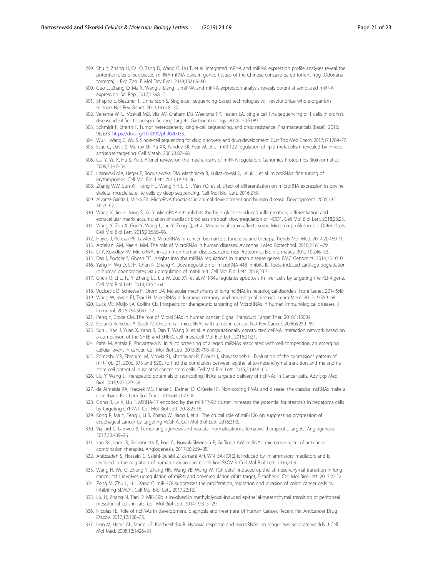- <span id="page-20-0"></span>299. Shu Y, Zhang H, Cai Q, Tang D, Wang G, Liu T, et al. Integrated mRNA and miRNA expression profile analyses reveal the potential roles of sex-biased miRNA-mRNA pairs in gonad tissues of the Chinese concave-eared torrent frog (Odorrana tormota). J Exp Zool B Mol Dev Evol. 2019;332:69–80.
- 300. Guo L, Zhang Q, Ma X, Wang J, Liang T. miRNA and mRNA expression analysis reveals potential sex-biased miRNA expression. Sci Rep. 2017;7:39812.
- 301. Shapiro E, Biezuner T, Linnarsson S. Single-cell sequencing-based technologies will revolutionize whole-organism science. Nat Rev Genet. 2013;14:618–30.
- 302. Venema WTU, Voskuil MD, Vila AV, Graham DB, Weersma RK, Festen EA. Single cell Rna sequencing of T cells in crohn's disease identifies tissue specific drug targets. Gastroenterology. 2018;154:S189.
- 303. Schmidt F, Efferth T. Tumor heterogeneity, single-cell sequencing, and drug resistance. Pharmaceuticals (Basel). 2016; 9(2):33. <https://doi.org/10.3390/ph9020033>.
- 304. Wu H, Wang C, Wu S. Single-cell sequencing for drug discovery and drug development. Curr Top Med Chem. 2017;17:1769–77. 305. Esau C, Davis S, Murray SF, Yu XX, Pandey SK, Pear M, et al. miR-122 regulation of lipid metabolism revealed by in vivo antisense targeting. Cell Metab. 2006;3:87–98.
- 306. Cai Y, Yu X, Hu S, Yu J. A brief review on the mechanisms of miRNA regulation. Genomics Proteomics Bioinformatics. 2009;7:147–54.
- 307. Listowski MA, Heger E, Boguslawska DM, Machnicka B, Kuliczkowski K, Leluk J, et al. microRNAs: fine tuning of erythropoiesis. Cell Mol Biol Lett. 2013;18:34–46.
- 308. Zhang WW, Sun XF, Tong HL, Wang YH, Li SF, Yan YQ, et al. Effect of differentiation on microRNA expression in bovine skeletal muscle satellite cells by deep sequencing. Cell Mol Biol Lett. 2016;21:8.
- 309. Alvarez-Garcia I, Miska EA. MicroRNA functions in animal development and human disease. Development. 2005;132: 4653–62.
- 310. Wang X, Jin H, Jiang S, Xu Y. MicroRNA-495 inhibits the high glucose-induced inflammation, differentiation and
- extracellular matrix accumulation of cardiac fibroblasts through downregulation of NOD1. Cell Mol Biol Lett. 2018;23:23. 311. Wang Y, Zou X, Guo Y, Wang L, Liu Y, Zeng Q, et al. Mechanical strain affects some Microrna profiles in pre-Oeteoblasts. Cell Mol Biol Lett. 2015;20:586–96.
- 312. Hayes J, Peruzzi PP, Lawler S. MicroRNAs in cancer: biomarkers, functions and therapy. Trends Mol Med. 2014;20:460–9.
- 313. Ardekani AM, Naeini MM. The role of MicroRNAs in human diseases. Avicenna J Med Biotechnol. 2010;2:161–79.
- 314. Li Y, Kowdley KV. MicroRNAs in common human diseases. Genomics Proteomics Bioinformatics. 2012;10:246–53.
- 315. Das J, Podder S, Ghosh TC. Insights into the miRNA regulations in human disease genes. BMC Genomics. 2014;15:1010.
- 316. Yang H, Wu D, Li H, Chen N, Shang Y. Downregulation of microRNA-448 inhibits IL-1beta-induced cartilage degradation in human chondrocytes via upregulation of matrilin-3. Cell Mol Biol Lett. 2018;23:7.
- 317. Chen Q, Li L, Tu Y, Zheng LL, Liu W, Zuo XY, et al. MiR-34a regulates apoptosis in liver cells by targeting the KLF4 gene. Cell Mol Biol Lett. 2014;19:52–64.
- 318. Vucicevic D, Schrewe H, Orom UA. Molecular mechanisms of long ncRNAs in neurological disorders. Front Genet. 2014;5:48.
- 319. Wang W, Kwon EJ, Tsai LH. MicroRNAs in learning, memory, and neurological diseases. Learn Mem. 2012;19:359–68.
- 320. Luck ME, Muljo SA, Collins CB. Prospects for therapeutic targeting of MicroRNAs in human immunological diseases. J Immunol. 2015;194:5047–52.
- 321. Peng Y, Croce CM. The role of MicroRNAs in human cancer. Signal Transduct Target Ther. 2016;1:15004.
- 322. Esquela-Kerscher A, Slack FJ. Oncomirs microRNAs with a role in cancer. Nat Rev Cancer. 2006;6:259–69.
- 323. Sun J, Yan J, Yuan X, Yang R, Dan T, Wang X, et al. A computationally constructed ceRNA interaction network based on a comparison of the SHEE and SHEEC cell lines. Cell Mol Biol Lett. 2016;21:21.
- 324. Patel M, Antala B, Shrivastava N. In silico screening of alleged miRNAs associated with cell competition: an emerging cellular event in cancer. Cell Mol Biol Lett. 2015;20:798–815.
- 325. Fomeshi MR, Ebrahimi M, Mowla SJ, Khosravani P, Firouzi J, Khayatzadeh H. Evaluation of the expressions pattern of miR-10b, 21, 200c, 373 and 520c to find the correlation between epithelial-to-mesenchymal transition and melanoma stem cell potential in isolated cancer stem cells. Cell Mol Biol Lett. 2015;20:448–65.
- 326. Liu Y, Wang J. Therapeutic potentials of noncoding RNAs: targeted delivery of ncRNAs in Cancer cells. Adv Exp Med Biol. 2016;927:429–58.
- 327. de Almeida RA, Fraczek MG, Parker S, Delneri D, O'Keefe RT. Non-coding RNAs and disease: the classical ncRNAs make a comeback. Biochem Soc Trans. 2016;44:1073–8.
- 328. Gong R, Lv X, Liu F. MiRNA-17 encoded by the miR-17-92 cluster increases the potential for steatosis in hepatoma cells by targeting CYP7A1. Cell Mol Biol Lett. 2018;23:16.
- 329. Kong R, Ma Y, Feng J, Li S, Zhang W, Jiang J, et al. The crucial role of miR-126 on suppressing progression of esophageal cancer by targeting VEGF-A. Cell Mol Biol Lett. 2016;21:3.
- 330. Viallard C, Larrivee B. Tumor angiogenesis and vascular normalization: alternative therapeutic targets. Angiogenesis. 2017;20:409–26.
- 331. van Beijnum JR, Giovannetti E, Poel D, Nowak-Sliwinska P, Griffioen AW. miRNAs: micro-managers of anticancer combination therapies. Angiogenesis. 2017;20:269–85.
- 332. Arabzadeh S, Hossein G, Salehi-Dulabi Z, Zarnani AH. WNT5A-ROR2 is induced by inflammatory mediators and is involved in the migration of human ovarian cancer cell line SKOV-3. Cell Mol Biol Lett. 2016;21:9.
- 333. Wang H, Wu Q, Zhang Y, Zhang HN, Wang YB, Wang W. TGF-beta1-induced epithelial-mesenchymal transition in lung cancer cells involves upregulation of miR-9 and downregulation of its target, E-cadherin. Cell Mol Biol Lett. 2017;22:22.
- 334. Zeng M, Zhu L, Li L, Kang C. miR-378 suppresses the proliferation, migration and invasion of colon cancer cells by inhibiting SDAD1. Cell Mol Biol Lett. 2017;22:12.
- 335. Liu H, Zhang N, Tian D. MiR-30b is involved in methylglyoxal-induced epithelial-mesenchymal transition of peritoneal mesothelial cells in rats. Cell Mol Biol Lett. 2014;19:315–29.
- 336. Nicolas FE. Role of ncRNAs in development, diagnosis and treatment of human Cancer. Recent Pat Anticancer Drug Discov. 2017;12:128–35.
- 337. Ivan M, Harris AL, Martelli F, Kulshreshtha R. Hypoxia response and microRNAs: no longer two separate worlds. J Cell Mol Med. 2008;12:1426–31.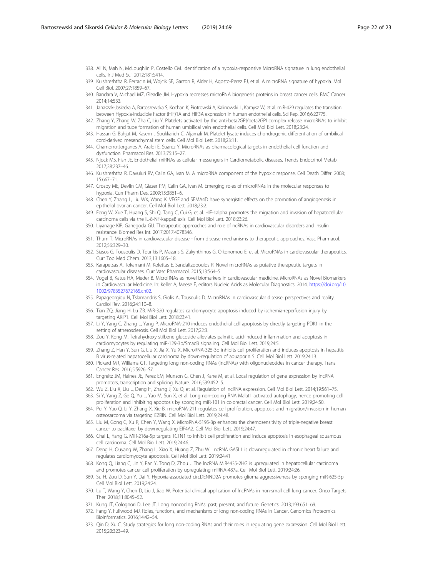- <span id="page-21-0"></span>338. Ali N, Mah N, McLoughlin P, Costello CM. Identification of a hypoxia-responsive MicroRNA signature in lung endothelial cells. Ir J Med Sci. 2012;181:S414.
- 339. Kulshreshtha R, Ferracin M, Wojcik SE, Garzon R, Alder H, Agosto-Perez FJ, et al. A microRNA signature of hypoxia. Mol Cell Biol. 2007;27:1859–67.
- 340. Bandara V, Michael MZ, Gleadle JM. Hypoxia represses microRNA biogenesis proteins in breast cancer cells. BMC Cancer. 2014;14:533.
- 341. Janaszak-Jasiecka A, Bartoszewska S, Kochan K, Piotrowski A, Kalinowski L, Kamysz W, et al. miR-429 regulates the transition between Hypoxia-Inducible Factor (HIF)1A and HIF3A expression in human endothelial cells. Sci Rep. 2016;6:22775.
- 342. Zhang Y, Zhang W, Zha C, Liu Y. Platelets activated by the anti-beta2GPI/beta2GPI complex release microRNAs to inhibit migration and tube formation of human umbilical vein endothelial cells. Cell Mol Biol Lett. 2018;23:24.
- 343. Hassan G, Bahjat M, Kasem I, Soukkarieh C, Aljamali M. Platelet lysate induces chondrogenic differentiation of umbilical cord-derived mesenchymal stem cells. Cell Mol Biol Lett. 2018;23:11.
- 344. Chamorro-Jorganes A, Araldi E, Suarez Y. MicroRNAs as pharmacological targets in endothelial cell function and dysfunction. Pharmacol Res. 2013;75:15–27.
- 345. Njock MS, Fish JE. Endothelial miRNAs as cellular messengers in Cardiometabolic diseases. Trends Endocrinol Metab. 2017;28:237–46.
- 346. Kulshreshtha R, Davuluri RV, Calin GA, Ivan M. A microRNA component of the hypoxic response. Cell Death Differ. 2008; 15:667–71.
- 347. Crosby ME, Devlin CM, Glazer PM, Calin GA, Ivan M. Emerging roles of microRNAs in the molecular responses to hypoxia. Curr Pharm Des. 2009;15:3861–6.
- 348. Chen Y, Zhang L, Liu WX, Wang K. VEGF and SEMA4D have synergistic effects on the promotion of angiogenesis in epithelial ovarian cancer. Cell Mol Biol Lett. 2018;23:2.
- 349. Feng W, Xue T, Huang S, Shi Q, Tang C, Cui G, et al. HIF-1alpha promotes the migration and invasion of hepatocellular carcinoma cells via the IL-8-NF-kappaB axis. Cell Mol Biol Lett. 2018;23:26.
- 350. Liyanage KIP, Ganegoda GU. Therapeutic approaches and role of ncRNAs in cardiovascular disorders and insulin resistance. Biomed Res Int. 2017;2017:4078346.
- 351. Thum T. MicroRNAs in cardiovascular disease from disease mechanisms to therapeutic approaches. Vasc Pharmacol. 2012;56:329–30.
- 352. Siasos G, Tousoulis D, Tourikis P, Mazaris S, Zakynthinos G, Oikonomou E, et al. MicroRNAs in cardiovascular therapeutics. Curr Top Med Chem. 2013;13:1605–18.
- 353. Karapetsas A, Tokamani M, Kolettas E, Sandaltzopoulos R. Novel microRNAs as putative therapeutic targets in cardiovascular diseases. Curr Vasc Pharmacol. 2015;13:564–5.
- 354. Vogel B, Katus HA, Meder B. MicroRNAs as novel biomarkers in cardiovascular medicine. MicroRNAs as Novel Biomarkers in Cardiovascular Medicine. In: Keller A, Meese E, editors Nucleic Acids as Molecular Diagnostics. 2014. [https://doi.org/10.](https://doi.org/10.1002/9783527672165.ch02) [1002/9783527672165.ch02](https://doi.org/10.1002/9783527672165.ch02).
- 355. Papageorgiou N, Tslamandris S, Giolis A, Tousoulis D. MicroRNAs in cardiovascular disease: perspectives and reality. Cardiol Rev. 2016;24:110–8.
- 356. Tian ZQ, Jiang H, Lu ZB. MiR-320 regulates cardiomyocyte apoptosis induced by ischemia-reperfusion injury by targeting AKIP1. Cell Mol Biol Lett. 2018;23:41.
- 357. Li Y, Yang C, Zhang L, Yang P. MicroRNA-210 induces endothelial cell apoptosis by directly targeting PDK1 in the setting of atherosclerosis. Cell Mol Biol Lett. 2017;22:3.
- 358. Zou Y, Kong M. Tetrahydroxy stilbene glucoside alleviates palmitic acid-induced inflammation and apoptosis in cardiomyocytes by regulating miR-129-3p/Smad3 signaling. Cell Mol Biol Lett. 2019;24:5.
- 359. Zhang Z, Han Y, Sun G, Liu X, Jia X, Yu X. MicroRNA-325-3p inhibits cell proliferation and induces apoptosis in hepatitis B virus-related hepatocellular carcinoma by down-regulation of aquaporin 5. Cell Mol Biol Lett. 2019;24:13.
- 360. Pickard MR, Williams GT. Targeting long non-coding RNAs (lncRNAs) with oligonucleotides in cancer therapy. Transl Cancer Res. 2016;5:S926–S7.
- 361. Engreitz JM, Haines JE, Perez EM, Munson G, Chen J, Kane M, et al. Local regulation of gene expression by lncRNA promoters, transcription and splicing. Nature. 2016;539:452–5.
- 362. Wu Z, Liu X, Liu L, Deng H, Zhang J, Xu Q, et al. Regulation of lncRNA expression. Cell Mol Biol Lett. 2014;19:561–75.
- 363. Si Y, Yang Z, Ge Q, Yu L, Yao M, Sun X, et al. Long non-coding RNA Malat1 activated autophagy, hence promoting cell proliferation and inhibiting apoptosis by sponging miR-101 in colorectal cancer. Cell Mol Biol Lett. 2019;24:50.
- 364. Pei Y, Yao Q, Li Y, Zhang X, Xie B. microRNA-211 regulates cell proliferation, apoptosis and migration/invasion in human osteosarcoma via targeting EZRIN. Cell Mol Biol Lett. 2019;24:48.
- 365. Liu M, Gong C, Xu R, Chen Y, Wang X. MicroRNA-5195-3p enhances the chemosensitivity of triple-negative breast cancer to paclitaxel by downregulating EIF4A2. Cell Mol Biol Lett. 2019;24:47.
- 366. Chai L, Yang G. MiR-216a-5p targets TCTN1 to inhibit cell proliferation and induce apoptosis in esophageal squamous cell carcinoma. Cell Mol Biol Lett. 2019;24:46.
- 367. Deng H, Ouyang W, Zhang L, Xiao X, Huang Z, Zhu W. LncRNA GASL1 is downregulated in chronic heart failure and regulates cardiomyocyte apoptosis. Cell Mol Biol Lett. 2019;24:41.
- 368. Kong Q, Liang C, Jin Y, Pan Y, Tong D, Zhou J. The lncRNA MIR4435-2HG is upregulated in hepatocellular carcinoma and promotes cancer cell proliferation by upregulating miRNA-487a. Cell Mol Biol Lett. 2019;24:26.
- 369. Su H, Zou D, Sun Y, Dai Y. Hypoxia-associated circDENND2A promotes glioma aggressiveness by sponging miR-625-5p. Cell Mol Biol Lett. 2019;24:24.
- 370. Lu T, Wang Y, Chen D, Liu J, Jiao W. Potential clinical application of lncRNAs in non-small cell lung cancer. Onco Targets Ther. 2018;11:8045–52.
- 371. Kung JT, Colognori D, Lee JT. Long noncoding RNAs: past, present, and future. Genetics. 2013;193:651–69.
- 372. Fang Y, Fullwood MJ. Roles, functions, and mechanisms of long non-coding RNAs in Cancer. Genomics Proteomics Bioinformatics. 2016;14:42–54.
- 373. Qin D, Xu C. Study strategies for long non-coding RNAs and their roles in regulating gene expression. Cell Mol Biol Lett. 2015;20:323–49.